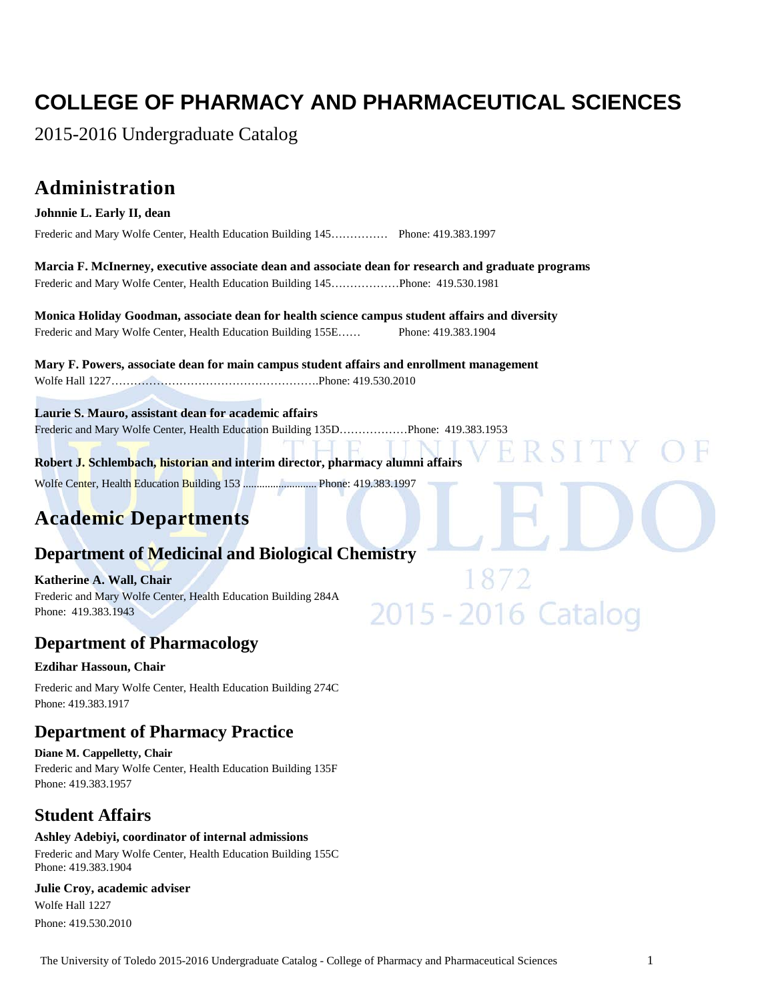# **COLLEGE OF PHARMACY AND PHARMACEUTICAL SCIENCES**

2015-2016 Undergraduate Catalog

# **Administration**

#### **Johnnie L. Early II, dean**

Frederic and Mary Wolfe Center, Health Education Building 145…………… Phone: 419.383.1997

**Marcia F. McInerney, executive associate dean and associate dean for research and graduate programs** Frederic and Mary Wolfe Center, Health Education Building 145………………Phone: 419.530.1981

**Monica Holiday Goodman, associate dean for health science campus student affairs and diversity** Frederic and Mary Wolfe Center, Health Education Building 155E…… Phone: 419.383.1904

**Mary F. Powers, associate dean for main campus student affairs and enrollment management** Wolfe Hall 1227……………………………………………….Phone: 419.530.2010

**Laurie S. Mauro, assistant dean for academic affairs**

Frederic and Mary Wolfe Center, Health Education Building 135D………………Phone: 419.383.1953

**Robert J. Schlembach, historian and interim director, pharmacy alumni affairs**

Wolfe Center, Health Education Building 153 ........................... Phone: 419.383.1997

# **Academic Departments**

# **Department of Medicinal and Biological Chemistry**

**Katherine A. Wall, Chair** Frederic and Mary Wolfe Center, Health Education Building 284A Phone: 419.383.1943

# **Department of Pharmacology**

#### **Ezdihar Hassoun, Chair**

Frederic and Mary Wolfe Center, Health Education Building 274C Phone: 419.383.1917

# **Department of Pharmacy Practice**

**Diane M. Cappelletty, Chair** Frederic and Mary Wolfe Center, Health Education Building 135F Phone: 419.383.1957

# **Student Affairs**

#### **Ashley Adebiyi, coordinator of internal admissions**

Frederic and Mary Wolfe Center, Health Education Building 155C Phone: 419.383.1904

#### **Julie Croy, academic adviser**

Wolfe Hall 1227 Phone: 419.530.2010 2015 - 2016 Catalog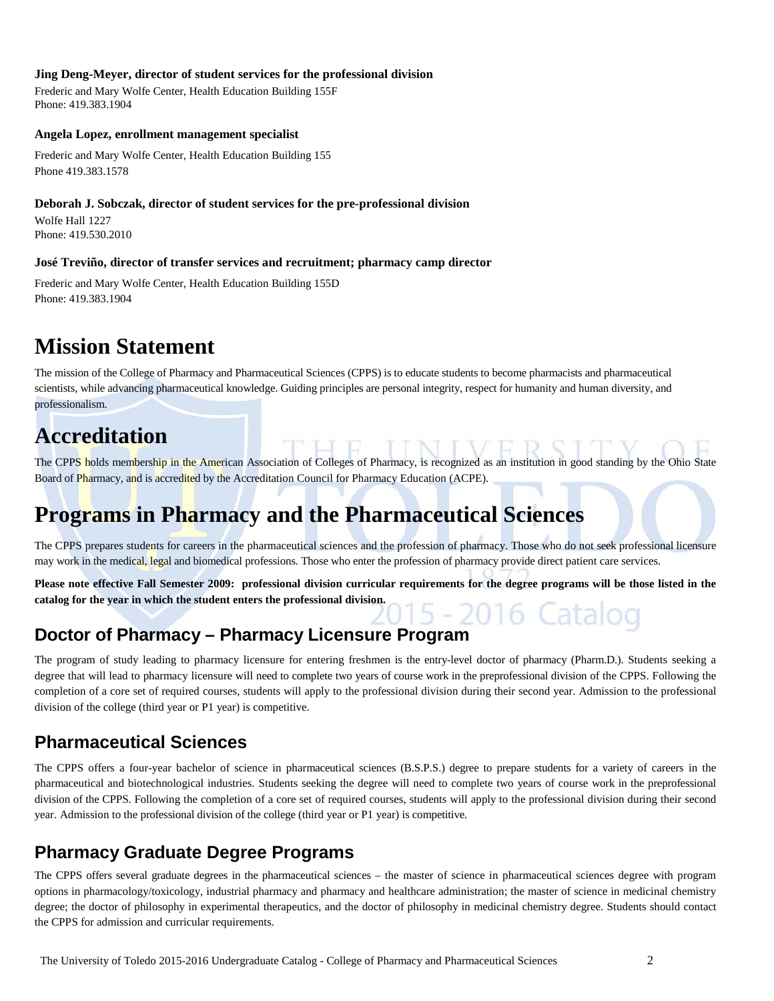#### **Jing Deng-Meyer, director of student services for the professional division**

Frederic and Mary Wolfe Center, Health Education Building 155F Phone: 419.383.1904

#### **Angela Lopez, enrollment management specialist**

Frederic and Mary Wolfe Center, Health Education Building 155 Phone 419.383.1578

#### **Deborah J. Sobczak, director of student services for the pre-professional division**

Wolfe Hall 1227 Phone: 419.530.2010

#### **José Treviño, director of transfer services and recruitment; pharmacy camp director**

Frederic and Mary Wolfe Center, Health Education Building 155D Phone: 419.383.1904

# **Mission Statement**

The mission of the College of Pharmacy and Pharmaceutical Sciences (CPPS) is to educate students to become pharmacists and pharmaceutical scientists, while advancing pharmaceutical knowledge. Guiding principles are personal integrity, respect for humanity and human diversity, and professionalism.

# **Accreditation**

The CPPS holds membership in the American Association of Colleges of Pharmacy, is recognized as an institution in good standing by the Ohio State Board of Pharmacy, and is accredited by the Accreditation Council for Pharmacy Education (ACPE).

# **Programs in Pharmacy and the Pharmaceutical Sciences**

The CPPS prepares students for careers in the pharmaceutical sciences and the profession of pharmacy. Those who do not seek professional licensure may work in the medical, legal and biomedical professions. Those who enter the profession of pharmacy provide direct patient care services.

**Please note effective Fall Semester 2009: professional division curricular requirements for the degree programs will be those listed in the catalog for the year in which the student enters the professional division.**

# **Doctor of Pharmacy – Pharmacy Licensure Program**

The program of study leading to pharmacy licensure for entering freshmen is the entry-level doctor of pharmacy (Pharm.D.). Students seeking a degree that will lead to pharmacy licensure will need to complete two years of course work in the preprofessional division of the CPPS. Following the completion of a core set of required courses, students will apply to the professional division during their second year. Admission to the professional division of the college (third year or P1 year) is competitive.

# **Pharmaceutical Sciences**

The CPPS offers a four-year bachelor of science in pharmaceutical sciences (B.S.P.S.) degree to prepare students for a variety of careers in the pharmaceutical and biotechnological industries. Students seeking the degree will need to complete two years of course work in the preprofessional division of the CPPS. Following the completion of a core set of required courses, students will apply to the professional division during their second year. Admission to the professional division of the college (third year or P1 year) is competitive.

# **Pharmacy Graduate Degree Programs**

The CPPS offers several graduate degrees in the pharmaceutical sciences – the master of science in pharmaceutical sciences degree with program options in pharmacology/toxicology, industrial pharmacy and pharmacy and healthcare administration; the master of science in medicinal chemistry degree; the doctor of philosophy in experimental therapeutics, and the doctor of philosophy in medicinal chemistry degree. Students should contact the CPPS for admission and curricular requirements.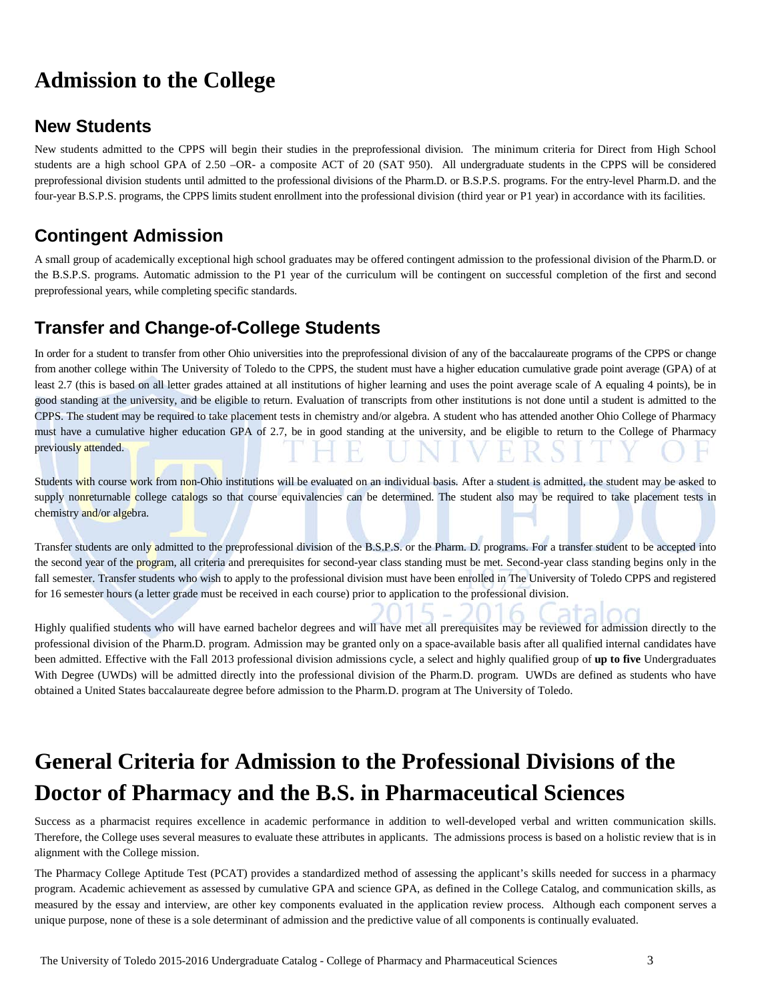# **Admission to the College**

# **New Students**

New students admitted to the CPPS will begin their studies in the preprofessional division. The minimum criteria for Direct from High School students are a high school GPA of 2.50 –OR- a composite ACT of 20 (SAT 950). All undergraduate students in the CPPS will be considered preprofessional division students until admitted to the professional divisions of the Pharm.D. or B.S.P.S. programs. For the entry-level Pharm.D. and the four-year B.S.P.S. programs, the CPPS limits student enrollment into the professional division (third year or P1 year) in accordance with its facilities.

# **Contingent Admission**

A small group of academically exceptional high school graduates may be offered contingent admission to the professional division of the Pharm.D. or the B.S.P.S. programs. Automatic admission to the P1 year of the curriculum will be contingent on successful completion of the first and second preprofessional years, while completing specific standards.

# **Transfer and Change-of-College Students**

In order for a student to transfer from other Ohio universities into the preprofessional division of any of the baccalaureate programs of the CPPS or change from another college within The University of Toledo to the CPPS, the student must have a higher education cumulative grade point average (GPA) of at least 2.7 (this is based on all letter grades attained at all institutions of higher learning and uses the point average scale of A equaling 4 points), be in good standing at the university, and be eligible to return. Evaluation of transcripts from other institutions is not done until a student is admitted to the CPPS. The student may be required to take placement tests in chemistry and/or algebra. A student who has attended another Ohio College of Pharmacy must have a cumulative higher education GPA of 2.7, be in good standing at the university, and be eligible to return to the College of Pharmacy previously attended.

Students with course work from non-Ohio institutions will be evaluated on an individual basis. After a student is admitted, the student may be asked to supply nonreturnable college catalogs so that course equivalencies can be determined. The student also may be required to take placement tests in chemistry and/or algebra.

Transfer students are only admitted to the preprofessional division of the B.S.P.S. or the Pharm. D. programs. For a transfer student to be accepted into the second year of the program, all criteria and prerequisites for second-year class standing must be met. Second-year class standing begins only in the fall semester. Transfer students who wish to apply to the professional division must have been enrolled in The University of Toledo CPPS and registered for 16 semester hours (a letter grade must be received in each course) prior to application to the professional division.

Highly qualified students who will have earned bachelor degrees and will have met all prerequisites may be reviewed for admission directly to the professional division of the Pharm.D. program. Admission may be granted only on a space-available basis after all qualified internal candidates have been admitted. Effective with the Fall 2013 professional division admissions cycle, a select and highly qualified group of **up to five** Undergraduates With Degree (UWDs) will be admitted directly into the professional division of the Pharm.D. program. UWDs are defined as students who have obtained a United States baccalaureate degree before admission to the Pharm.D. program at The University of Toledo.

# **General Criteria for Admission to the Professional Divisions of the Doctor of Pharmacy and the B.S. in Pharmaceutical Sciences**

Success as a pharmacist requires excellence in academic performance in addition to well-developed verbal and written communication skills. Therefore, the College uses several measures to evaluate these attributes in applicants. The admissions process is based on a holistic review that is in alignment with the College mission.

The Pharmacy College Aptitude Test (PCAT) provides a standardized method of assessing the applicant's skills needed for success in a pharmacy program. Academic achievement as assessed by cumulative GPA and science GPA, as defined in the College Catalog, and communication skills, as measured by the essay and interview, are other key components evaluated in the application review process. Although each component serves a unique purpose, none of these is a sole determinant of admission and the predictive value of all components is continually evaluated.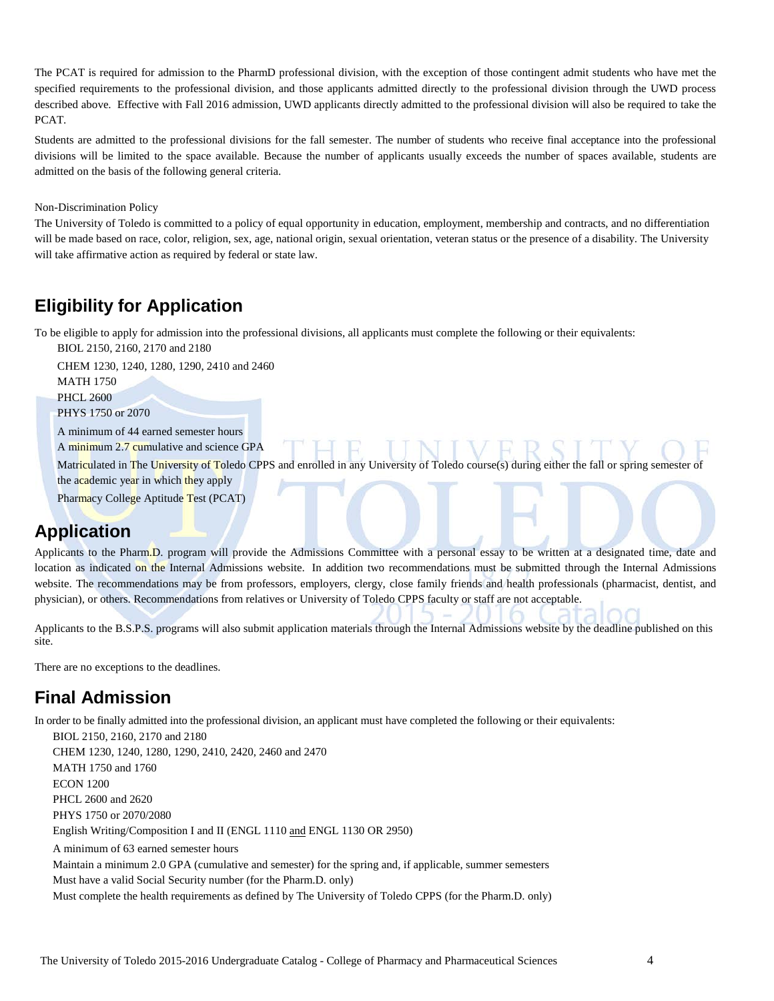The PCAT is required for admission to the PharmD professional division, with the exception of those contingent admit students who have met the specified requirements to the professional division, and those applicants admitted directly to the professional division through the UWD process described above. Effective with Fall 2016 admission, UWD applicants directly admitted to the professional division will also be required to take the PCAT.

Students are admitted to the professional divisions for the fall semester. The number of students who receive final acceptance into the professional divisions will be limited to the space available. Because the number of applicants usually exceeds the number of spaces available, students are admitted on the basis of the following general criteria.

#### Non-Discrimination Policy

The University of Toledo is committed to a policy of equal opportunity in education, employment, membership and contracts, and no differentiation will be made based on race, color, religion, sex, age, national origin, sexual orientation, veteran status or the presence of a disability. The University will take affirmative action as required by federal or state law.

# **Eligibility for Application**

To be eligible to apply for admission into the professional divisions, all applicants must complete the following or their equivalents:

BIOL 2150, 2160, 2170 and 2180

CHEM 1230, 1240, 1280, 1290, 2410 and 2460 MATH 1750 PHCL 2600

PHYS 1750 or 2070

A minimum of 44 earned semester hours

A minimum 2.7 cumulative and science GPA

Matriculated in The University of Toledo CPPS and enrolled in any University of Toledo course(s) during either the fall or spring semester of the academic year in which they apply

Pharmacy College Aptitude Test (PCAT)

# **Application**

Applicants to the Pharm.D. program will provide the Admissions Committee with a personal essay to be written at a designated time, date and location as indicated on the Internal Admissions website. In addition two recommendations must be submitted through the Internal Admissions website. The recommendations may be from professors, employers, clergy, close family friends and health professionals (pharmacist, dentist, and physician), or others. Recommendations from relatives or University of Toledo CPPS faculty or staff are not acceptable.

Applicants to the B.S.P.S. programs will also submit application materials through the Internal Admissions website by the deadline published on this site.

There are no exceptions to the deadlines.

# **Final Admission**

In order to be finally admitted into the professional division, an applicant must have completed the following or their equivalents:

BIOL 2150, 2160, 2170 and 2180 CHEM 1230, 1240, 1280, 1290, 2410, 2420, 2460 and 2470 MATH 1750 and 1760 ECON 1200 PHCL 2600 and 2620 PHYS 1750 or 2070/2080 English Writing/Composition I and II (ENGL 1110 and ENGL 1130 OR 2950) A minimum of 63 earned semester hours Maintain a minimum 2.0 GPA (cumulative and semester) for the spring and, if applicable, summer semesters Must have a valid Social Security number (for the Pharm.D. only) Must complete the health requirements as defined by The University of Toledo CPPS (for the Pharm.D. only)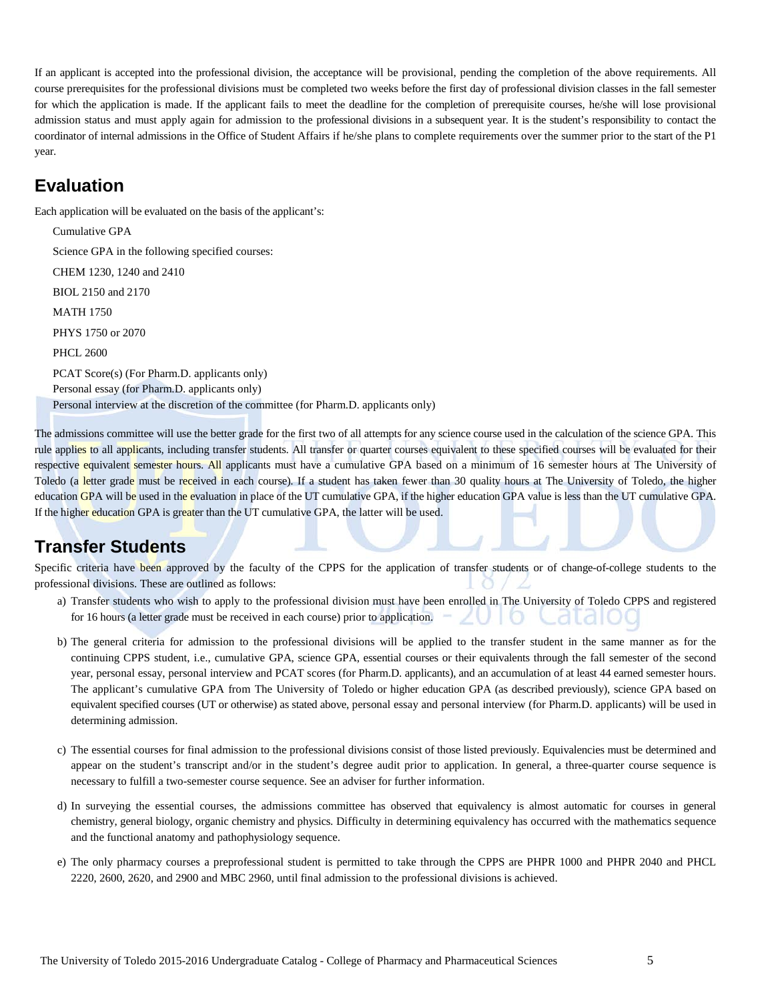If an applicant is accepted into the professional division, the acceptance will be provisional, pending the completion of the above requirements. All course prerequisites for the professional divisions must be completed two weeks before the first day of professional division classes in the fall semester for which the application is made. If the applicant fails to meet the deadline for the completion of prerequisite courses, he/she will lose provisional admission status and must apply again for admission to the professional divisions in a subsequent year. It is the student's responsibility to contact the coordinator of internal admissions in the Office of Student Affairs if he/she plans to complete requirements over the summer prior to the start of the P1 year.

# **Evaluation**

Each application will be evaluated on the basis of the applicant's:

Cumulative GPA Science GPA in the following specified courses: CHEM 1230, 1240 and 2410 BIOL 2150 and 2170 MATH 1750 PHYS 1750 or 2070 PHCL 2600 PCAT Score(s) (For Pharm.D. applicants only) Personal essay (for Pharm.D. applicants only) Personal interview at the discretion of the committee (for Pharm.D. applicants only)

The admissions committee will use the better grade for the first two of all attempts for any science course used in the calculation of the science GPA. This rule applies to all applicants, including transfer students. All transfer or quarter courses equivalent to these specified courses will be evaluated for their respective equivalent semester hours. All applicants must have a cumulative GPA based on a minimum of 16 semester hours at The University of Toledo (a letter grade must be received in each course). If a student has taken fewer than 30 quality hours at The University of Toledo, the higher education GPA will be used in the evaluation in place of the UT cumulative GPA, if the higher education GPA value is less than the UT cumulative GPA. If the higher education GPA is greater than the UT cumulative GPA, the latter will be used.

# **Transfer Students**

Specific criteria have been approved by the faculty of the CPPS for the application of transfer students or of change-of-college students to the professional divisions. These are outlined as follows:

- a) Transfer students who wish to apply to the professional division must have been enrolled in The University of Toledo CPPS and registered for 16 hours (a letter grade must be received in each course) prior to application.
- b) The general criteria for admission to the professional divisions will be applied to the transfer student in the same manner as for the continuing CPPS student, i.e., cumulative GPA, science GPA, essential courses or their equivalents through the fall semester of the second year, personal essay, personal interview and PCAT scores (for Pharm.D. applicants), and an accumulation of at least 44 earned semester hours. The applicant's cumulative GPA from The University of Toledo or higher education GPA (as described previously), science GPA based on equivalent specified courses (UT or otherwise) as stated above, personal essay and personal interview (for Pharm.D. applicants) will be used in determining admission.
- c) The essential courses for final admission to the professional divisions consist of those listed previously. Equivalencies must be determined and appear on the student's transcript and/or in the student's degree audit prior to application. In general, a three-quarter course sequence is necessary to fulfill a two-semester course sequence. See an adviser for further information.
- d) In surveying the essential courses, the admissions committee has observed that equivalency is almost automatic for courses in general chemistry, general biology, organic chemistry and physics. Difficulty in determining equivalency has occurred with the mathematics sequence and the functional anatomy and pathophysiology sequence.
- e) The only pharmacy courses a preprofessional student is permitted to take through the CPPS are PHPR 1000 and PHPR 2040 and PHCL 2220, 2600, 2620, and 2900 and MBC 2960, until final admission to the professional divisions is achieved.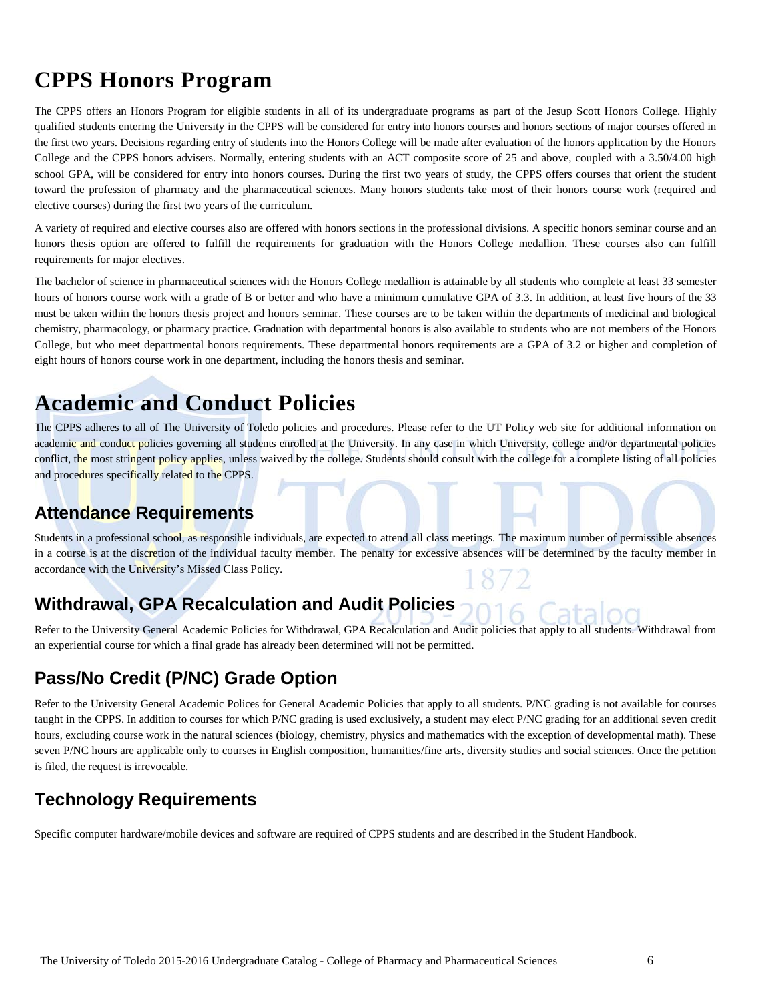# **CPPS Honors Program**

The CPPS offers an Honors Program for eligible students in all of its undergraduate programs as part of the Jesup Scott Honors College. Highly qualified students entering the University in the CPPS will be considered for entry into honors courses and honors sections of major courses offered in the first two years. Decisions regarding entry of students into the Honors College will be made after evaluation of the honors application by the Honors College and the CPPS honors advisers. Normally, entering students with an ACT composite score of 25 and above, coupled with a 3.50/4.00 high school GPA, will be considered for entry into honors courses. During the first two years of study, the CPPS offers courses that orient the student toward the profession of pharmacy and the pharmaceutical sciences. Many honors students take most of their honors course work (required and elective courses) during the first two years of the curriculum.

A variety of required and elective courses also are offered with honors sections in the professional divisions. A specific honors seminar course and an honors thesis option are offered to fulfill the requirements for graduation with the Honors College medallion. These courses also can fulfill requirements for major electives.

The bachelor of science in pharmaceutical sciences with the Honors College medallion is attainable by all students who complete at least 33 semester hours of honors course work with a grade of B or better and who have a minimum cumulative GPA of 3.3. In addition, at least five hours of the 33 must be taken within the honors thesis project and honors seminar. These courses are to be taken within the departments of medicinal and biological chemistry, pharmacology, or pharmacy practice. Graduation with departmental honors is also available to students who are not members of the Honors College, but who meet departmental honors requirements. These departmental honors requirements are a GPA of 3.2 or higher and completion of eight hours of honors course work in one department, including the honors thesis and seminar.

# **Academic and Conduct Policies**

The CPPS adheres to all of The University of Toledo policies and procedures. Please refer to the [UT Policy web site](http://utoledo.edu/policies/) for additional information on academic and conduct policies governing all students enrolled at the University. In any case in which University, college and/or departmental policies conflict, the most stringent policy applies, unless waived by the college. Students should consult with the college for a complete listing of all policies and procedures specifically related to the CPPS.

# **Attendance Requirements**

Students in a professional school, as responsible individuals, are expected to attend all class meetings. The maximum number of permissible absences in a course is at the discretion of the individual faculty member. The penalty for excessive absences will be determined by the faculty member in accordance with the University's Missed Class Policy.

# **Withdrawal, GPA Recalculation and Audit Policies**

Refer to the University General Academic Policies for Withdrawal, GPA Recalculation and Audit policies that apply to all students. Withdrawal from an experiential course for which a final grade has already been determined will not be permitted.

# **Pass/No Credit (P/NC) Grade Option**

Refer to the University General Academic Polices for General Academic Policies that apply to all students. P/NC grading is not available for courses taught in the CPPS. In addition to courses for which P/NC grading is used exclusively, a student may elect P/NC grading for an additional seven credit hours, excluding course work in the natural sciences (biology, chemistry, physics and mathematics with the exception of developmental math). These seven P/NC hours are applicable only to courses in English composition, humanities/fine arts, diversity studies and social sciences. Once the petition is filed, the request is irrevocable.

# **Technology Requirements**

Specific computer hardware/mobile devices and software are required of CPPS students and are described in the Student Handbook.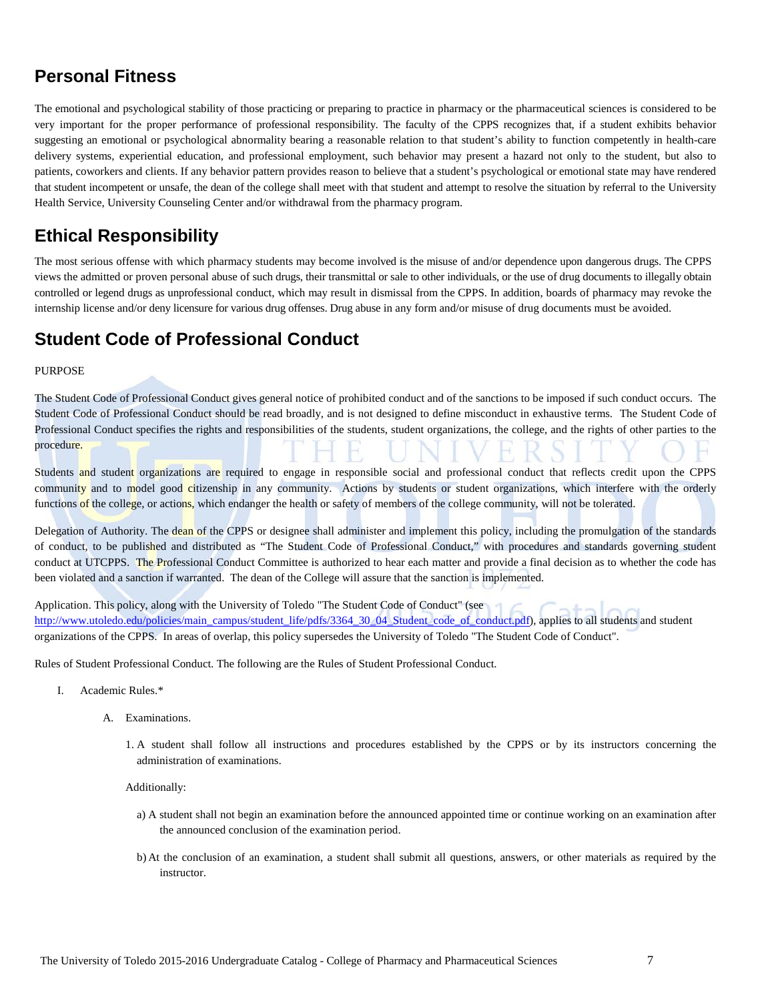# **Personal Fitness**

The emotional and psychological stability of those practicing or preparing to practice in pharmacy or the pharmaceutical sciences is considered to be very important for the proper performance of professional responsibility. The faculty of the CPPS recognizes that, if a student exhibits behavior suggesting an emotional or psychological abnormality bearing a reasonable relation to that student's ability to function competently in health-care delivery systems, experiential education, and professional employment, such behavior may present a hazard not only to the student, but also to patients, coworkers and clients. If any behavior pattern provides reason to believe that a student's psychological or emotional state may have rendered that student incompetent or unsafe, the dean of the college shall meet with that student and attempt to resolve the situation by referral to the University Health Service, University Counseling Center and/or withdrawal from the pharmacy program.

# **Ethical Responsibility**

The most serious offense with which pharmacy students may become involved is the misuse of and/or dependence upon dangerous drugs. The CPPS views the admitted or proven personal abuse of such drugs, their transmittal or sale to other individuals, or the use of drug documents to illegally obtain controlled or legend drugs as unprofessional conduct, which may result in dismissal from the CPPS. In addition, boards of pharmacy may revoke the internship license and/or deny licensure for various drug offenses. Drug abuse in any form and/or misuse of drug documents must be avoided.

# **Student Code of Professional Conduct**

#### PURPOSE

The Student Code of Professional Conduct gives general notice of prohibited conduct and of the sanctions to be imposed if such conduct occurs. The Student Code of Professional Conduct should be read broadly, and is not designed to define misconduct in exhaustive terms. The Student Code of Professional Conduct specifies the rights and responsibilities of the students, student organizations, the college, and the rights of other parties to the procedure.

Students and student organizations are required to engage in responsible social and professional conduct that reflects credit upon the CPPS community and to model good citizenship in any community. Actions by students or student organizations, which interfere with the orderly functions of the college, or actions, which endanger the health or safety of members of the college community, will not be tolerated.

Delegation of Authority. The dean of the CPPS or designee shall administer and implement this policy, including the promulgation of the standards of conduct, to be published and distributed as "The Student Code of Professional Conduct," with procedures and standards governing student conduct at UTCPPS. The Professional Conduct Committee is authorized to hear each matter and provide a final decision as to whether the code has been violated and a sanction if warranted. The dean of the College will assure that the sanction is implemented.

Application. This policy, along with the University of Toledo "The Student Code of Conduct" (see [http://www.utoledo.edu/policies/main\\_campus/student\\_life/pdfs/3364\\_30\\_04\\_Student\\_code\\_of\\_conduct.pdf\)](http://www.utoledo.edu/policies/main_campus/student_life/pdfs/3364_30_04_Student_code_of_conduct.pdf), applies to all students and student organizations of the CPPS. In areas of overlap, this policy supersedes the University of Toledo "The Student Code of Conduct".

Rules of Student Professional Conduct. The following are the Rules of Student Professional Conduct.

- I. Academic Rules.\*
	- A. Examinations.
		- 1. A student shall follow all instructions and procedures established by the CPPS or by its instructors concerning the administration of examinations.

Additionally:

- a) A student shall not begin an examination before the announced appointed time or continue working on an examination after the announced conclusion of the examination period.
- b) At the conclusion of an examination, a student shall submit all questions, answers, or other materials as required by the instructor.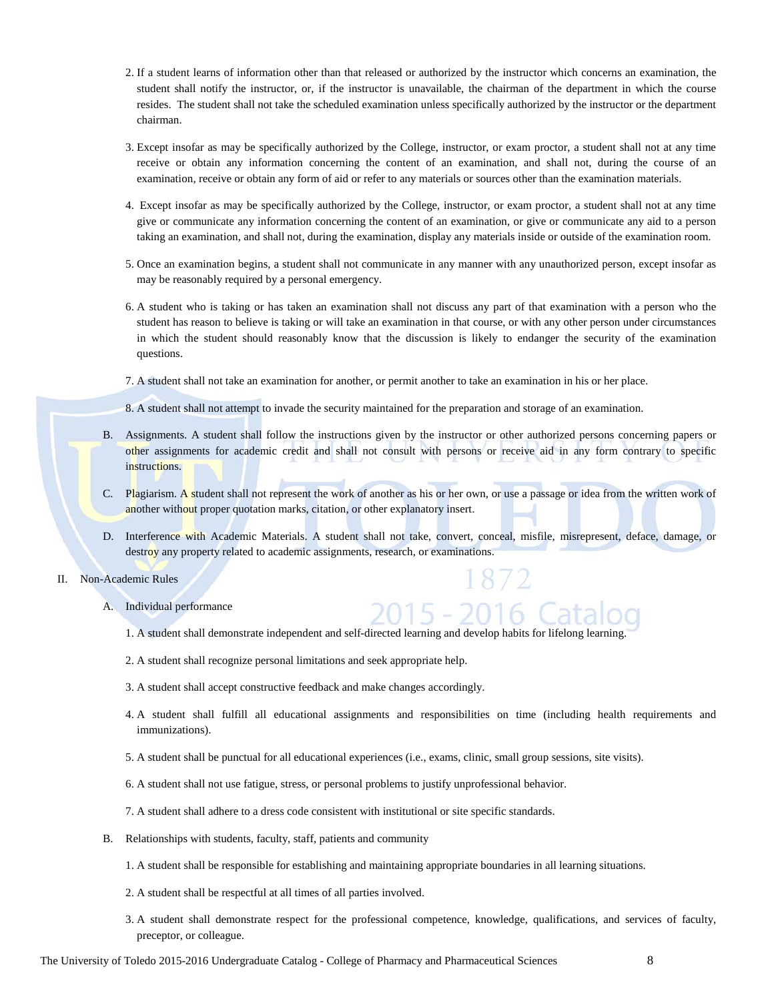- 2. If a student learns of information other than that released or authorized by the instructor which concerns an examination, the student shall notify the instructor, or, if the instructor is unavailable, the chairman of the department in which the course resides. The student shall not take the scheduled examination unless specifically authorized by the instructor or the department chairman.
- 3. Except insofar as may be specifically authorized by the College, instructor, or exam proctor, a student shall not at any time receive or obtain any information concerning the content of an examination, and shall not, during the course of an examination, receive or obtain any form of aid or refer to any materials or sources other than the examination materials.
- 4. Except insofar as may be specifically authorized by the College, instructor, or exam proctor, a student shall not at any time give or communicate any information concerning the content of an examination, or give or communicate any aid to a person taking an examination, and shall not, during the examination, display any materials inside or outside of the examination room.
- 5. Once an examination begins, a student shall not communicate in any manner with any unauthorized person, except insofar as may be reasonably required by a personal emergency.
- 6. A student who is taking or has taken an examination shall not discuss any part of that examination with a person who the student has reason to believe is taking or will take an examination in that course, or with any other person under circumstances in which the student should reasonably know that the discussion is likely to endanger the security of the examination questions.
- 7. A student shall not take an examination for another, or permit another to take an examination in his or her place.
- 8. A student shall not attempt to invade the security maintained for the preparation and storage of an examination.
- B. Assignments. A student shall follow the instructions given by the instructor or other authorized persons concerning papers or other assignments for academic credit and shall not consult with persons or receive aid in any form contrary to specific instructions.
- C. Plagiarism. A student shall not represent the work of another as his or her own, or use a passage or idea from the written work of another without proper quotation marks, citation, or other explanatory insert.
- D. Interference with Academic Materials. A student shall not take, convert, conceal, misfile, misrepresent, deface, damage, or destroy any property related to academic assignments, research, or examinations.
- II. Non-Academic Rules
	- A. Individual performance
		- 1. A student shall demonstrate independent and self-directed learning and develop habits for lifelong learning.
		- 2. A student shall recognize personal limitations and seek appropriate help.
		- 3. A student shall accept constructive feedback and make changes accordingly.
		- 4. A student shall fulfill all educational assignments and responsibilities on time (including health requirements and immunizations).

 $-2016$  (

- 5. A student shall be punctual for all educational experiences (i.e., exams, clinic, small group sessions, site visits).
- 6. A student shall not use fatigue, stress, or personal problems to justify unprofessional behavior.
- 7. A student shall adhere to a dress code consistent with institutional or site specific standards.
- B. Relationships with students, faculty, staff, patients and community
	- 1. A student shall be responsible for establishing and maintaining appropriate boundaries in all learning situations.
	- 2. A student shall be respectful at all times of all parties involved.
	- 3. A student shall demonstrate respect for the professional competence, knowledge, qualifications, and services of faculty, preceptor, or colleague.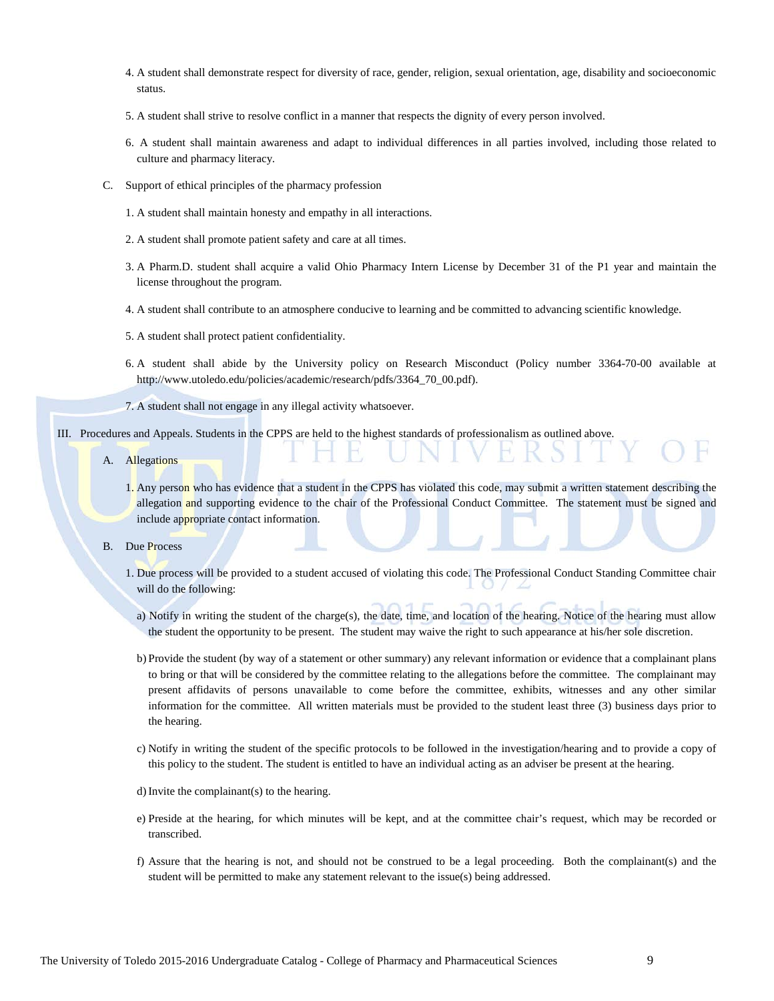- 4. A student shall demonstrate respect for diversity of race, gender, religion, sexual orientation, age, disability and socioeconomic status.
- 5. A student shall strive to resolve conflict in a manner that respects the dignity of every person involved.
- 6. A student shall maintain awareness and adapt to individual differences in all parties involved, including those related to culture and pharmacy literacy.
- C. Support of ethical principles of the pharmacy profession
	- 1. A student shall maintain honesty and empathy in all interactions.
	- 2. A student shall promote patient safety and care at all times.
	- 3. A Pharm.D. student shall acquire a valid Ohio Pharmacy Intern License by December 31 of the P1 year and maintain the license throughout the program.
	- 4. A student shall contribute to an atmosphere conducive to learning and be committed to advancing scientific knowledge.
	- 5. A student shall protect patient confidentiality.
	- 6. A student shall abide by the University policy on Research Misconduct (Policy number 3364-70-00 available at http://www.utoledo.edu/policies/academic/research/pdfs/3364\_70\_00.pdf).
	- 7. A student shall not engage in any illegal activity whatsoever.

#### III. Procedures and Appeals. Students in the CPPS are held to the highest standards of professionalism as outlined above.

- A. Allegations
	- 1. Any person who has evidence that a student in the CPPS has violated this code, may submit a written statement describing the allegation and supporting evidence to the chair of the Professional Conduct Committee. The statement must be signed and include appropriate contact information.
- B. Due Process
	- 1. Due process will be provided to a student accused of violating this code. The Professional Conduct Standing Committee chair will do the following:
		- a) Notify in writing the student of the charge(s), the date, time, and location of the hearing. Notice of the hearing must allow the student the opportunity to be present. The student may waive the right to such appearance at his/her sole discretion.
		- b) Provide the student (by way of a statement or other summary) any relevant information or evidence that a complainant plans to bring or that will be considered by the committee relating to the allegations before the committee. The complainant may present affidavits of persons unavailable to come before the committee, exhibits, witnesses and any other similar information for the committee. All written materials must be provided to the student least three (3) business days prior to the hearing.
		- c) Notify in writing the student of the specific protocols to be followed in the investigation/hearing and to provide a copy of this policy to the student. The student is entitled to have an individual acting as an adviser be present at the hearing.

d)Invite the complainant(s) to the hearing.

- e) Preside at the hearing, for which minutes will be kept, and at the committee chair's request, which may be recorded or transcribed.
- f) Assure that the hearing is not, and should not be construed to be a legal proceeding. Both the complainant(s) and the student will be permitted to make any statement relevant to the issue(s) being addressed.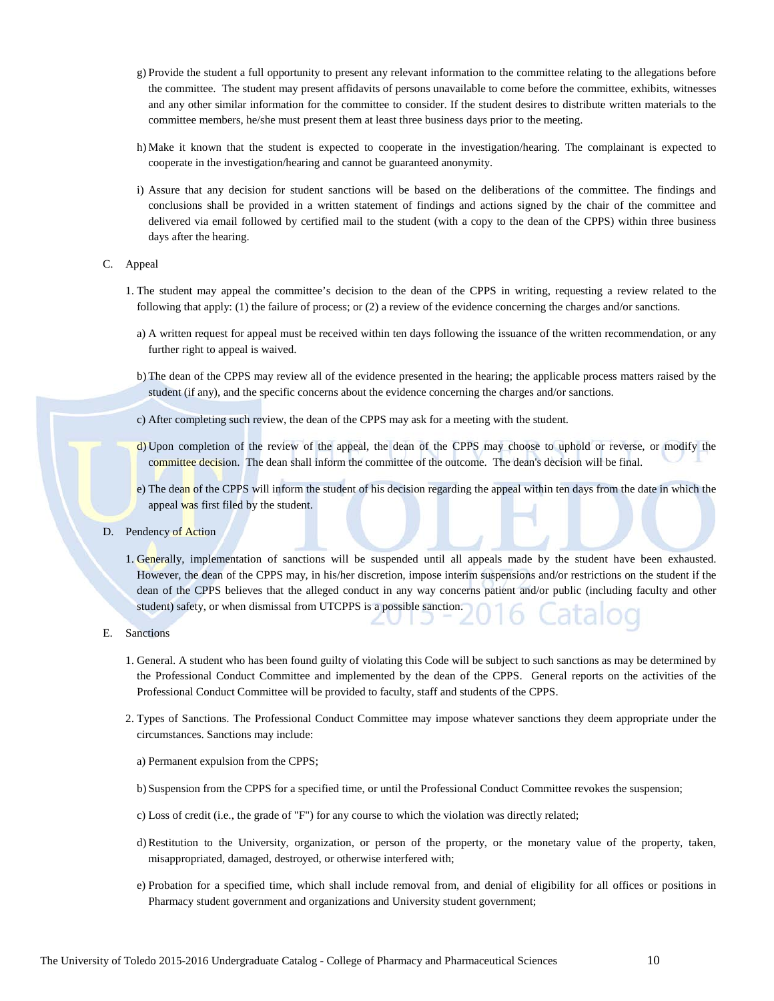- g) Provide the student a full opportunity to present any relevant information to the committee relating to the allegations before the committee. The student may present affidavits of persons unavailable to come before the committee, exhibits, witnesses and any other similar information for the committee to consider. If the student desires to distribute written materials to the committee members, he/she must present them at least three business days prior to the meeting.
- h) Make it known that the student is expected to cooperate in the investigation/hearing. The complainant is expected to cooperate in the investigation/hearing and cannot be guaranteed anonymity.
- i) Assure that any decision for student sanctions will be based on the deliberations of the committee. The findings and conclusions shall be provided in a written statement of findings and actions signed by the chair of the committee and delivered via email followed by certified mail to the student (with a copy to the dean of the CPPS) within three business days after the hearing.
- C. Appeal
	- 1. The student may appeal the committee's decision to the dean of the CPPS in writing, requesting a review related to the following that apply: (1) the failure of process; or (2) a review of the evidence concerning the charges and/or sanctions.
		- a) A written request for appeal must be received within ten days following the issuance of the written recommendation, or any further right to appeal is waived.
		- b) The dean of the CPPS may review all of the evidence presented in the hearing; the applicable process matters raised by the student (if any), and the specific concerns about the evidence concerning the charges and/or sanctions.
		- c) After completing such review, the dean of the CPPS may ask for a meeting with the student.
	- d) Upon completion of the review of the appeal, the dean of the CPPS may choose to uphold or reverse, or modify the committee decision. The dean shall inform the committee of the outcome. The dean's decision will be final.
	- e) The dean of the CPPS will inform the student of his decision regarding the appeal within ten days from the date in which the appeal was first filed by the student.
- D. Pendency of Action
	- 1. Generally, implementation of sanctions will be suspended until all appeals made by the student have been exhausted. However, the dean of the CPPS may, in his/her discretion, impose interim suspensions and/or restrictions on the student if the dean of the CPPS believes that the alleged conduct in any way concerns patient and/or public (including faculty and other student) safety, or when dismissal from UTCPPS is a possible sanction.
- E. Sanctions
	- 1. General. A student who has been found guilty of violating this Code will be subject to such sanctions as may be determined by the Professional Conduct Committee and implemented by the dean of the CPPS. General reports on the activities of the Professional Conduct Committee will be provided to faculty, staff and students of the CPPS.
	- 2. Types of Sanctions. The Professional Conduct Committee may impose whatever sanctions they deem appropriate under the circumstances. Sanctions may include:
		- a) Permanent expulsion from the CPPS;
		- b) Suspension from the CPPS for a specified time, or until the Professional Conduct Committee revokes the suspension;
		- c) Loss of credit (i.e., the grade of "F") for any course to which the violation was directly related;
		- d)Restitution to the University, organization, or person of the property, or the monetary value of the property, taken, misappropriated, damaged, destroyed, or otherwise interfered with;
		- e) Probation for a specified time, which shall include removal from, and denial of eligibility for all offices or positions in Pharmacy student government and organizations and University student government;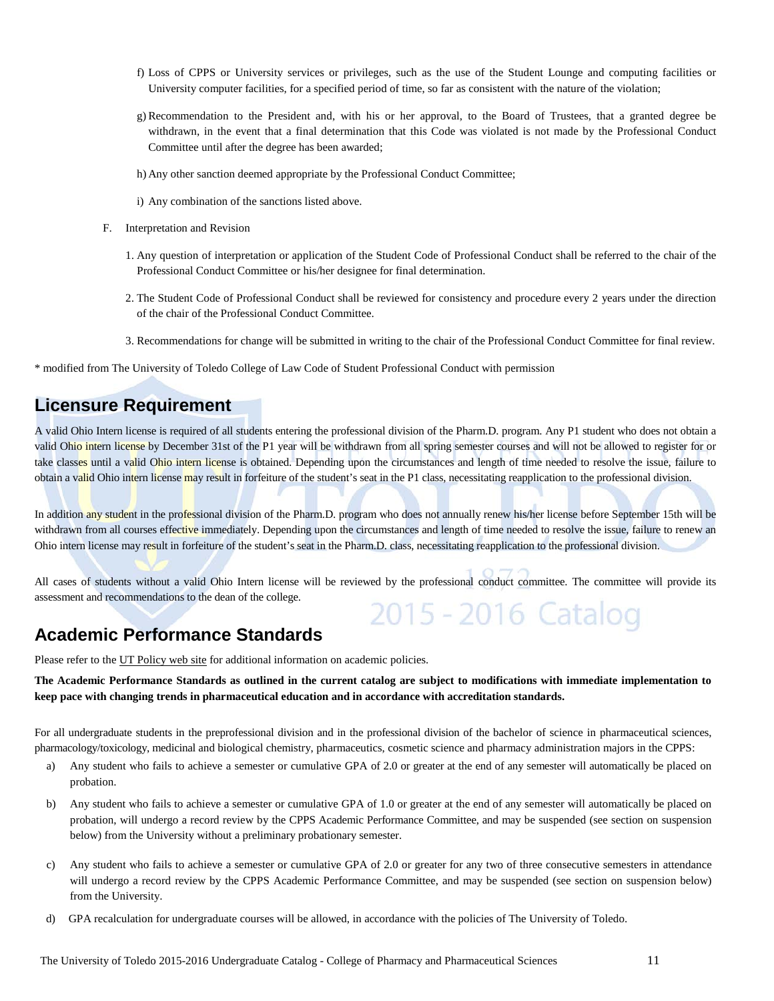- f) Loss of CPPS or University services or privileges, such as the use of the Student Lounge and computing facilities or University computer facilities, for a specified period of time, so far as consistent with the nature of the violation;
- g) Recommendation to the President and, with his or her approval, to the Board of Trustees, that a granted degree be withdrawn, in the event that a final determination that this Code was violated is not made by the Professional Conduct Committee until after the degree has been awarded;
- h) Any other sanction deemed appropriate by the Professional Conduct Committee;
- i) Any combination of the sanctions listed above.
- F. Interpretation and Revision
	- 1. Any question of interpretation or application of the Student Code of Professional Conduct shall be referred to the chair of the Professional Conduct Committee or his/her designee for final determination.
	- 2. The Student Code of Professional Conduct shall be reviewed for consistency and procedure every 2 years under the direction of the chair of the Professional Conduct Committee.
	- 3. Recommendations for change will be submitted in writing to the chair of the Professional Conduct Committee for final review.

\* modified from The University of Toledo College of Law Code of Student Professional Conduct with permission

# **Licensure Requirement**

A valid Ohio Intern license is required of all students entering the professional division of the Pharm.D. program. Any P1 student who does not obtain a valid Ohio intern license by December 31st of the P1 year will be withdrawn from all spring semester courses and will not be allowed to register for or take classes until a valid Ohio intern license is obtained. Depending upon the circumstances and length of time needed to resolve the issue, failure to obtain a valid Ohio intern license may result in forfeiture of the student's seat in the P1 class, necessitating reapplication to the professional division.

In addition any student in the professional division of the Pharm.D. program who does not annually renew his/her license before September 15th will be withdrawn from all courses effective immediately. Depending upon the circumstances and length of time needed to resolve the issue, failure to renew an Ohio intern license may result in forfeiture of the student's seat in the Pharm.D. class, necessitating reapplication to the professional division.

All cases of students without a valid Ohio Intern license will be reviewed by the professional conduct committee. The committee will provide its assessment and recommendations to the dean of the college. 2015 - 2016 Catalog

# **Academic Performance Standards**

Please refer to th[e UT Policy web site](http://utoledo.edu/policies/) for additional information on academic policies.

**The Academic Performance Standards as outlined in the current catalog are subject to modifications with immediate implementation to keep pace with changing trends in pharmaceutical education and in accordance with accreditation standards.**

For all undergraduate students in the preprofessional division and in the professional division of the bachelor of science in pharmaceutical sciences, pharmacology/toxicology, medicinal and biological chemistry, pharmaceutics, cosmetic science and pharmacy administration majors in the CPPS:

- a) Any student who fails to achieve a semester or cumulative GPA of 2.0 or greater at the end of any semester will automatically be placed on probation.
- b) Any student who fails to achieve a semester or cumulative GPA of 1.0 or greater at the end of any semester will automatically be placed on probation, will undergo a record review by the CPPS Academic Performance Committee, and may be suspended (see section on suspension below) from the University without a preliminary probationary semester.
- c) Any student who fails to achieve a semester or cumulative GPA of 2.0 or greater for any two of three consecutive semesters in attendance will undergo a record review by the CPPS Academic Performance Committee, and may be suspended (see section on suspension below) from the University.
- d) GPA recalculation for undergraduate courses will be allowed, in accordance with the policies of The University of Toledo.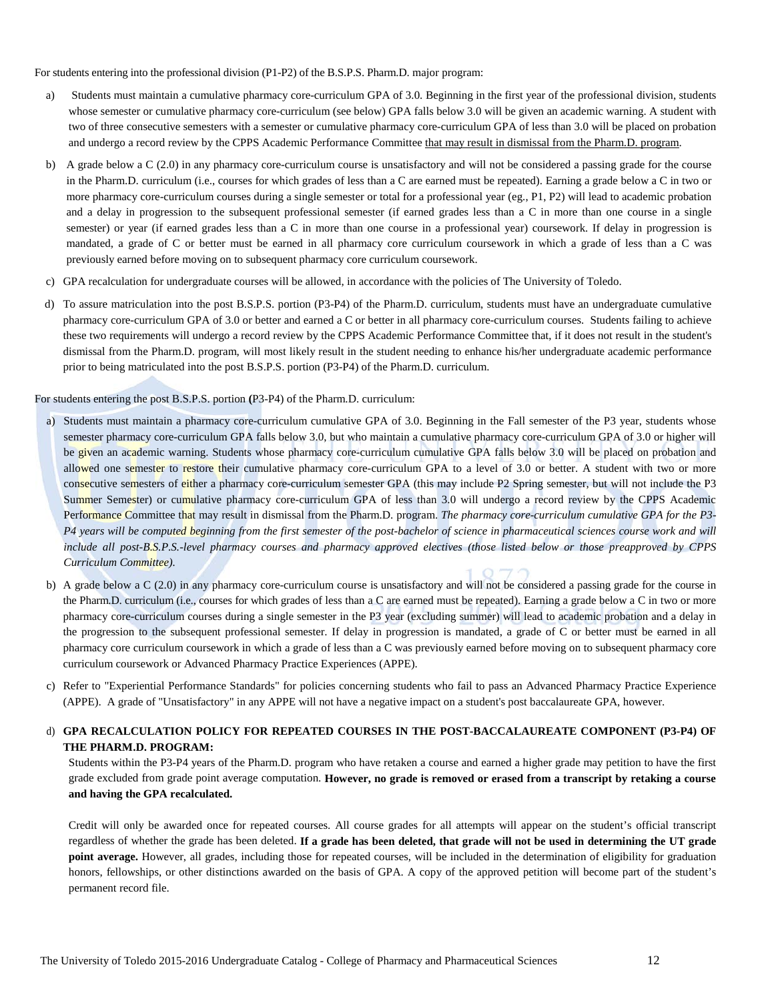For students entering into the professional division (P1-P2) of the B.S.P.S. Pharm.D. major program:

- a) Students must maintain a cumulative pharmacy core-curriculum GPA of 3.0. Beginning in the first year of the professional division, students whose semester or cumulative pharmacy core-curriculum (see below) GPA falls below 3.0 will be given an academic warning. A student with two of three consecutive semesters with a semester or cumulative pharmacy core-curriculum GPA of less than 3.0 will be placed on probation and undergo a record review by the CPPS Academic Performance Committee that may result in dismissal from the Pharm.D. program.
- b) A grade below a C (2.0) in any pharmacy core-curriculum course is unsatisfactory and will not be considered a passing grade for the course in the Pharm.D. curriculum (i.e., courses for which grades of less than a C are earned must be repeated). Earning a grade below a C in two or more pharmacy core-curriculum courses during a single semester or total for a professional year (eg., P1, P2) will lead to academic probation and a delay in progression to the subsequent professional semester (if earned grades less than a C in more than one course in a single semester) or year (if earned grades less than a C in more than one course in a professional year) coursework. If delay in progression is mandated, a grade of C or better must be earned in all pharmacy core curriculum coursework in which a grade of less than a C was previously earned before moving on to subsequent pharmacy core curriculum coursework.
- c) GPA recalculation for undergraduate courses will be allowed, in accordance with the policies of The University of Toledo.
- d) To assure matriculation into the post B.S.P.S. portion (P3-P4) of the Pharm.D. curriculum, students must have an undergraduate cumulative pharmacy core-curriculum GPA of 3.0 or better and earned a C or better in all pharmacy core-curriculum courses. Students failing to achieve these two requirements will undergo a record review by the CPPS Academic Performance Committee that, if it does not result in the student's dismissal from the Pharm.D. program, will most likely result in the student needing to enhance his/her undergraduate academic performance prior to being matriculated into the post B.S.P.S. portion (P3-P4) of the Pharm.D. curriculum.

For students entering the post B.S.P.S. portion **(**P3-P4) of the Pharm.D. curriculum:

- a) Students must maintain a pharmacy core-curriculum cumulative GPA of 3.0. Beginning in the Fall semester of the P3 year, students whose semester pharmacy core-curriculum GPA falls below 3.0, but who maintain a cumulative pharmacy core-curriculum GPA of 3.0 or higher will be given an academic warning. Students whose pharmacy core-curriculum cumulative GPA falls below 3.0 will be placed on probation and allowed one semester to restore their cumulative pharmacy core-curriculum GPA to a level of 3.0 or better. A student with two or more consecutive semesters of either a pharmacy core-curriculum semester GPA (this may include P2 Spring semester, but will not include the P3 Summer Semester) or cumulative pharmacy core-curriculum GPA of less than 3.0 will undergo a record review by the CPPS Academic Performance Committee that may result in dismissal from the Pharm.D. program. *The pharmacy core-curriculum cumulative GPA for the P3- P4 years will be computed beginning from the first semester of the post-bachelor of science in pharmaceutical sciences course work and will include all post-B.S.P.S.-level pharmacy courses and pharmacy approved electives (those listed below or those preapproved by CPPS Curriculum Committee).*
- b) A grade below a C (2.0) in any pharmacy core-curriculum course is unsatisfactory and will not be considered a passing grade for the course in the Pharm.D. curriculum (i.e., courses for which grades of less than a C are earned must be repeated). Earning a grade below a C in two or more pharmacy core-curriculum courses during a single semester in the P3 year (excluding summer) will lead to academic probation and a delay in the progression to the subsequent professional semester. If delay in progression is mandated, a grade of C or better must be earned in all pharmacy core curriculum coursework in which a grade of less than a C was previously earned before moving on to subsequent pharmacy core curriculum coursework or Advanced Pharmacy Practice Experiences (APPE).
- c) Refer to "Experiential Performance Standards" for policies concerning students who fail to pass an Advanced Pharmacy Practice Experience (APPE). A grade of "Unsatisfactory" in any APPE will not have a negative impact on a student's post baccalaureate GPA, however.

d) **GPA RECALCULATION POLICY FOR REPEATED COURSES IN THE POST-BACCALAUREATE COMPONENT (P3-P4) OF THE PHARM.D. PROGRAM:**

Students within the P3-P4 years of the Pharm.D. program who have retaken a course and earned a higher grade may petition to have the first grade excluded from grade point average computation. **However, no grade is removed or erased from a transcript by retaking a course and having the GPA recalculated.**

Credit will only be awarded once for repeated courses. All course grades for all attempts will appear on the student's official transcript regardless of whether the grade has been deleted. **If a grade has been deleted, that grade will not be used in determining the UT grade point average.** However, all grades, including those for repeated courses, will be included in the determination of eligibility for graduation honors, fellowships, or other distinctions awarded on the basis of GPA. A copy of the approved petition will become part of the student's permanent record file.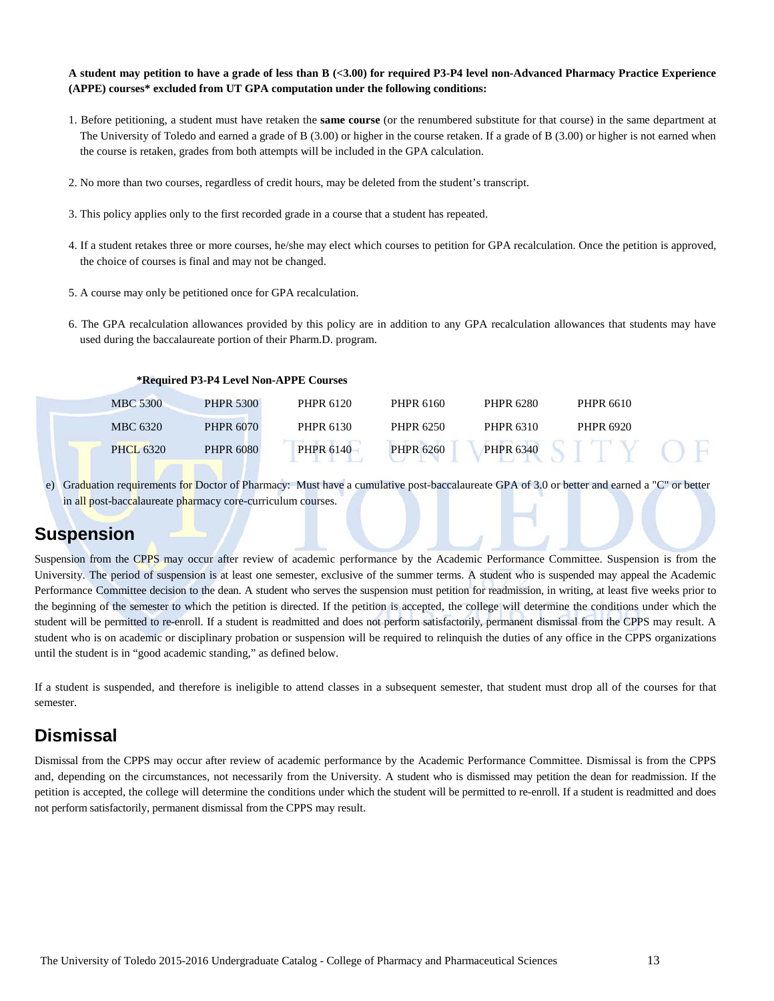**A student may petition to have a grade of less than B (<3.00) for required P3-P4 level non-Advanced Pharmacy Practice Experience (APPE) courses\* excluded from UT GPA computation under the following conditions:** 

- 1. Before petitioning, a student must have retaken the **same course** (or the renumbered substitute for that course) in the same department at The University of Toledo and earned a grade of B (3.00) or higher in the course retaken. If a grade of B (3.00) or higher is not earned when the course is retaken, grades from both attempts will be included in the GPA calculation.
- 2. No more than two courses, regardless of credit hours, may be deleted from the student's transcript.
- 3. This policy applies only to the first recorded grade in a course that a student has repeated.
- 4. If a student retakes three or more courses, he/she may elect which courses to petition for GPA recalculation. Once the petition is approved, the choice of courses is final and may not be changed.
- 5. A course may only be petitioned once for GPA recalculation.
- 6. The GPA recalculation allowances provided by this policy are in addition to any GPA recalculation allowances that students may have used during the baccalaureate portion of their Pharm.D. program.

**\*Required P3-P4 Level Non-APPE Courses**

| <b>MBC 5300</b>  | <b>PHPR 5300</b> | PHPR 6120 | PHPR 6160        | PHPR 6280        | PHPR 6610 |
|------------------|------------------|-----------|------------------|------------------|-----------|
| MBC 6320         | <b>PHPR 6070</b> | PHPR 6130 | PHPR 6250        | PHPR 6310        | PHPR 6920 |
| <b>PHCL 6320</b> | <b>PHPR 6080</b> | PHPR 6140 | <b>PHPR 6260</b> | <b>PHPR 6340</b> |           |

e) Graduation requirements for Doctor of Pharmacy: Must have a cumulative post-baccalaureate GPA of 3.0 or better and earned a "C" or better in all post-baccalaureate pharmacy core-curriculum courses.

# **Suspension**

Suspension from the CPPS may occur after review of academic performance by the Academic Performance Committee. Suspension is from the University. The period of suspension is at least one semester, exclusive of the summer terms. A student who is suspended may appeal the Academic Performance Committee decision to the dean. A student who serves the suspension must petition for readmission, in writing, at least five weeks prior to the beginning of the semester to which the petition is directed. If the petition is accepted, the college will determine the conditions under which the student will be permitted to re-enroll. If a student is readmitted and does not perform satisfactorily, permanent dismissal from the CPPS may result. A student who is on academic or disciplinary probation or suspension will be required to relinquish the duties of any office in the CPPS organizations until the student is in "good academic standing," as defined below.

If a student is suspended, and therefore is ineligible to attend classes in a subsequent semester, that student must drop all of the courses for that semester.

# **Dismissal**

Dismissal from the CPPS may occur after review of academic performance by the Academic Performance Committee. Dismissal is from the CPPS and, depending on the circumstances, not necessarily from the University. A student who is dismissed may petition the dean for readmission. If the petition is accepted, the college will determine the conditions under which the student will be permitted to re-enroll. If a student is readmitted and does not perform satisfactorily, permanent dismissal from the CPPS may result.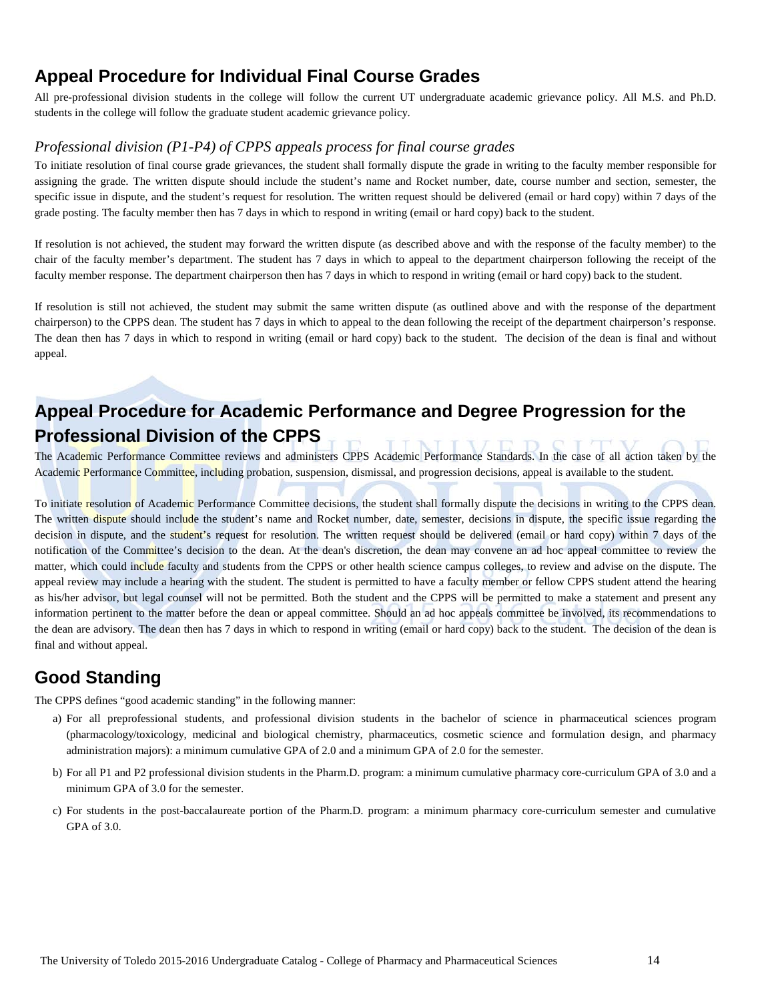# **Appeal Procedure for Individual Final Course Grades**

All pre-professional division students in the college will follow the current UT undergraduate academic grievance policy. All M.S. and Ph.D. students in the college will follow the graduate student academic grievance policy.

#### *Professional division (P1-P4) of CPPS appeals process for final course grades*

To initiate resolution of final course grade grievances, the student shall formally dispute the grade in writing to the faculty member responsible for assigning the grade. The written dispute should include the student's name and Rocket number, date, course number and section, semester, the specific issue in dispute, and the student's request for resolution. The written request should be delivered (email or hard copy) within 7 days of the grade posting. The faculty member then has 7 days in which to respond in writing (email or hard copy) back to the student.

If resolution is not achieved, the student may forward the written dispute (as described above and with the response of the faculty member) to the chair of the faculty member's department. The student has 7 days in which to appeal to the department chairperson following the receipt of the faculty member response. The department chairperson then has 7 days in which to respond in writing (email or hard copy) back to the student.

If resolution is still not achieved, the student may submit the same written dispute (as outlined above and with the response of the department chairperson) to the CPPS dean. The student has 7 days in which to appeal to the dean following the receipt of the department chairperson's response. The dean then has 7 days in which to respond in writing (email or hard copy) back to the student. The decision of the dean is final and without appeal.

# **Appeal Procedure for Academic Performance and Degree Progression for the Professional Division of the CPPS**

The Academic Performance Committee reviews and administers CPPS Academic Performance Standards. In the case of all action taken by the Academic Performance Committee, including probation, suspension, dismissal, and progression decisions, appeal is available to the student.

To initiate resolution of Academic Performance Committee decisions, the student shall formally dispute the decisions in writing to the CPPS dean. The written dispute should include the student's name and Rocket number, date, semester, decisions in dispute, the specific issue regarding the decision in dispute, and the student's request for resolution. The written request should be delivered (email or hard copy) within 7 days of the notification of the Committee's decision to the dean. At the dean's discretion, the dean may convene an ad hoc appeal committee to review the matter, which could include faculty and students from the CPPS or other health science campus colleges, to review and advise on the dispute. The appeal review may include a hearing with the student. The student is permitted to have a faculty member or fellow CPPS student attend the hearing as his/her advisor, but legal counsel will not be permitted. Both the student and the CPPS will be permitted to make a statement and present any information pertinent to the matter before the dean or appeal committee. Should an ad hoc appeals committee be involved, its recommendations to the dean are advisory. The dean then has 7 days in which to respond in writing (email or hard copy) back to the student. The decision of the dean is final and without appeal.

# **Good Standing**

The CPPS defines "good academic standing" in the following manner:

- a) For all preprofessional students, and professional division students in the bachelor of science in pharmaceutical sciences program (pharmacology/toxicology, medicinal and biological chemistry, pharmaceutics, cosmetic science and formulation design, and pharmacy administration majors): a minimum cumulative GPA of 2.0 and a minimum GPA of 2.0 for the semester.
- b) For all P1 and P2 professional division students in the Pharm.D. program: a minimum cumulative pharmacy core-curriculum GPA of 3.0 and a minimum GPA of 3.0 for the semester.
- c) For students in the post-baccalaureate portion of the Pharm.D. program: a minimum pharmacy core-curriculum semester and cumulative GPA of 3.0.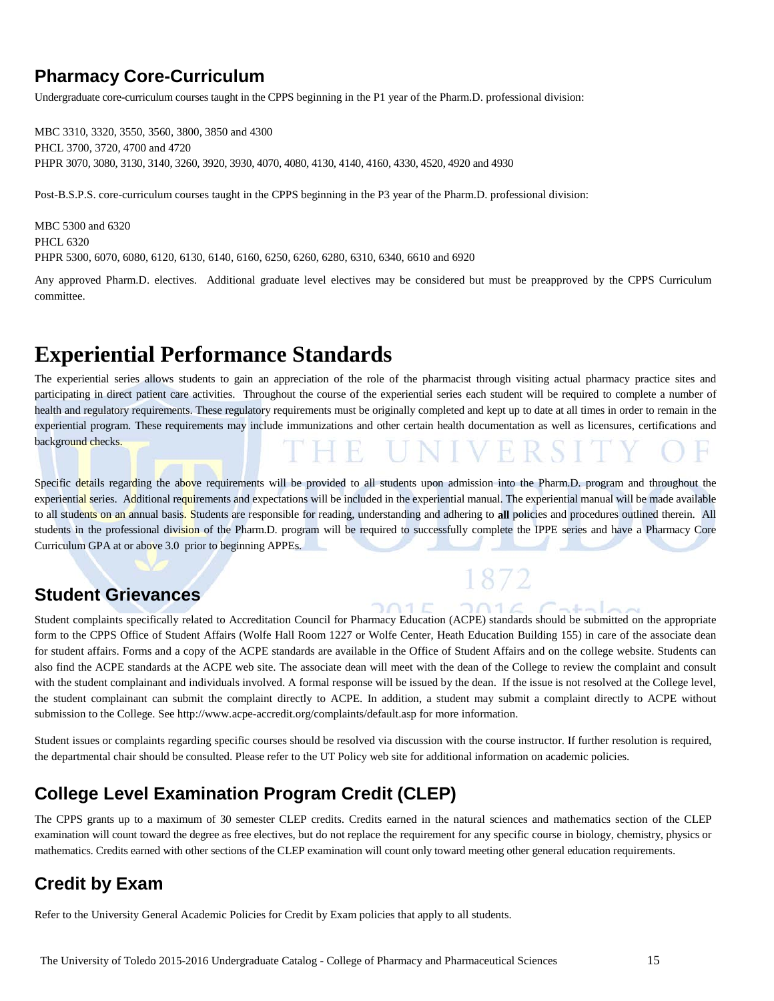# **Pharmacy Core-Curriculum**

Undergraduate core-curriculum courses taught in the CPPS beginning in the P1 year of the Pharm.D. professional division:

MBC 3310, 3320, 3550, 3560, 3800, 3850 and 4300 PHCL 3700, 3720, 4700 and 4720 PHPR 3070, 3080, 3130, 3140, 3260, 3920, 3930, 4070, 4080, 4130, 4140, 4160, 4330, 4520, 4920 and 4930

Post-B.S.P.S. core-curriculum courses taught in the CPPS beginning in the P3 year of the Pharm.D. professional division:

MBC 5300 and 6320 PHCL 6320 PHPR 5300, 6070, 6080, 6120, 6130, 6140, 6160, 6250, 6260, 6280, 6310, 6340, 6610 and 6920

Any approved Pharm.D. electives. Additional graduate level electives may be considered but must be preapproved by the CPPS Curriculum committee.

# **Experiential Performance Standards**

The experiential series allows students to gain an appreciation of the role of the pharmacist through visiting actual pharmacy practice sites and participating in direct patient care activities. Throughout the course of the experiential series each student will be required to complete a number of health and regulatory requirements. These regulatory requirements must be originally completed and kept up to date at all times in order to remain in the experiential program. These requirements may include immunizations and other certain health documentation as well as licensures, certifications and background checks.

Specific details regarding the above requirements will be provided to all students upon admission into the Pharm.D. program and throughout the experiential series. Additional requirements and expectations will be included in the experiential manual. The experiential manual will be made available to all students on an annual basis. Students are responsible for reading, understanding and adhering to **all** policies and procedures outlined therein. All students in the professional division of the Pharm.D. program will be required to successfully complete the IPPE series and have a Pharmacy Core Curriculum GPA at or above 3.0 prior to beginning APPEs.

# **Student Grievances**

Student complaints specifically related to Accreditation Council for Pharmacy Education (ACPE) standards should be submitted on the appropriate form to the CPPS Office of Student Affairs (Wolfe Hall Room 1227 or Wolfe Center, Heath Education Building 155) in care of the associate dean for student affairs. Forms and a copy of the ACPE standards are available in the Office of Student Affairs and on the college website. Students can also find the ACPE standards at the ACPE web site. The associate dean will meet with the dean of the College to review the complaint and consult with the student complainant and individuals involved. A formal response will be issued by the dean. If the issue is not resolved at the College level, the student complainant can submit the complaint directly to ACPE. In addition, a student may submit a complaint directly to ACPE without submission to the College. Se[e http://www.acpe-accredit.org/complaints/default.asp](http://www.acpe-accredit.org/complaints/default.asp) for more information.

 $201F$ 

 $20161$ 

Student issues or complaints regarding specific courses should be resolved via discussion with the course instructor. If further resolution is required, the departmental chair should be consulted. Please refer to the UT Policy web site for additional information on academic policies.

# **College Level Examination Program Credit (CLEP)**

The CPPS grants up to a maximum of 30 semester CLEP credits. Credits earned in the natural sciences and mathematics section of the CLEP examination will count toward the degree as free electives, but do not replace the requirement for any specific course in biology, chemistry, physics or mathematics. Credits earned with other sections of the CLEP examination will count only toward meeting other general education requirements.

# **Credit by Exam**

Refer to the University General Academic Policies for Credit by Exam policies that apply to all students.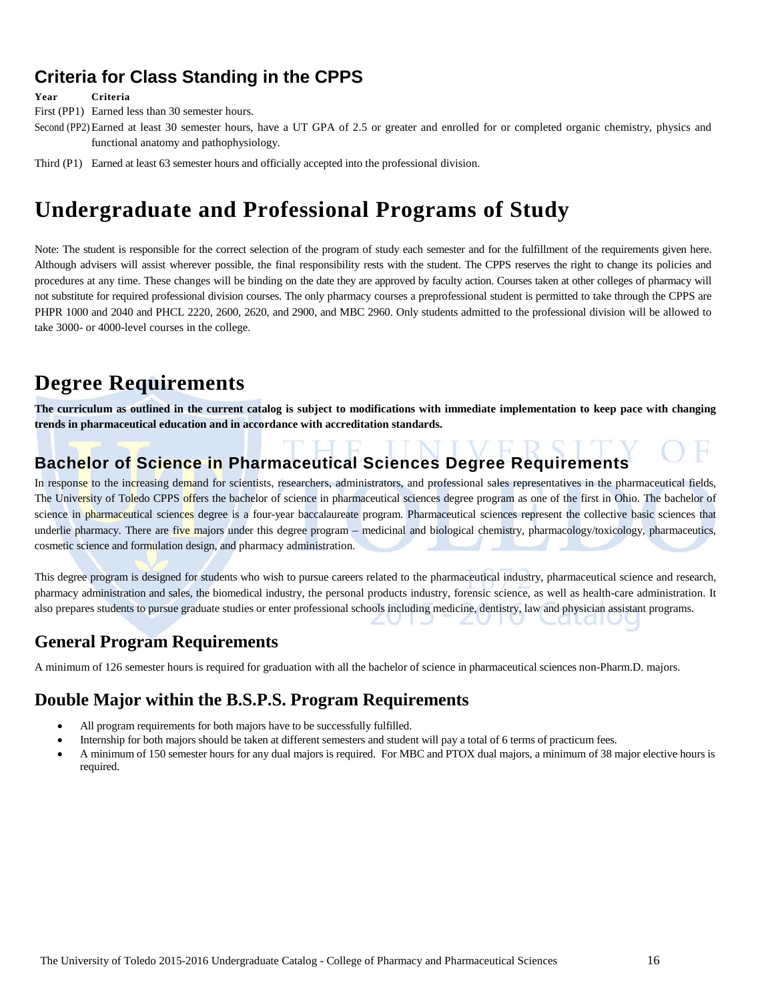# **Criteria for Class Standing in the CPPS**

**Year Criteria**

First (PP1) Earned less than 30 semester hours.

Second (PP2) Earned at least 30 semester hours, have a UT GPA of 2.5 or greater and enrolled for or completed organic chemistry, physics and functional anatomy and pathophysiology.

Third (P1) Earned at least 63 semester hours and officially accepted into the professional division.

# **Undergraduate and Professional Programs of Study**

Note: The student is responsible for the correct selection of the program of study each semester and for the fulfillment of the requirements given here. Although advisers will assist wherever possible, the final responsibility rests with the student. The CPPS reserves the right to change its policies and procedures at any time. These changes will be binding on the date they are approved by faculty action. Courses taken at other colleges of pharmacy will not substitute for required professional division courses. The only pharmacy courses a preprofessional student is permitted to take through the CPPS are PHPR 1000 and 2040 and PHCL 2220, 2600, 2620, and 2900, and MBC 2960. Only students admitted to the professional division will be allowed to take 3000- or 4000-level courses in the college.

# **Degree Requirements**

**The curriculum as outlined in the current catalog is subject to modifications with immediate implementation to keep pace with changing trends in pharmaceutical education and in accordance with accreditation standards.**

#### NIVERS **Bachelor of Science in Pharmaceutical Sciences Degree Requirements**

In response to the increasing demand for scientists, researchers, administrators, and professional sales representatives in the pharmaceutical fields, The University of Toledo CPPS offers the bachelor of science in pharmaceutical sciences degree program as one of the first in Ohio. The bachelor of science in pharmaceutical sciences degree is a four-year baccalaureate program. Pharmaceutical sciences represent the collective basic sciences that underlie pharmacy. There are five majors under this degree program – medicinal and biological chemistry, pharmacology/toxicology, pharmaceutics, cosmetic science and formulation design, and pharmacy administration.

This degree program is designed for students who wish to pursue careers related to the pharmaceutical industry, pharmaceutical science and research, pharmacy administration and sales, the biomedical industry, the personal products industry, forensic science, as well as health-care administration. It also prepares students to pursue graduate studies or enter professional schools including medicine, dentistry, law and physician assistant programs.

# **General Program Requirements**

A minimum of 126 semester hours is required for graduation with all the bachelor of science in pharmaceutical sciences non-Pharm.D. majors.

# **Double Major within the B.S.P.S. Program Requirements**

- All program requirements for both majors have to be successfully fulfilled.
- Internship for both majors should be taken at different semesters and student will pay a total of 6 terms of practicum fees.
- A minimum of 150 semester hours for any dual majors is required. For MBC and PTOX dual majors, a minimum of 38 major elective hours is required.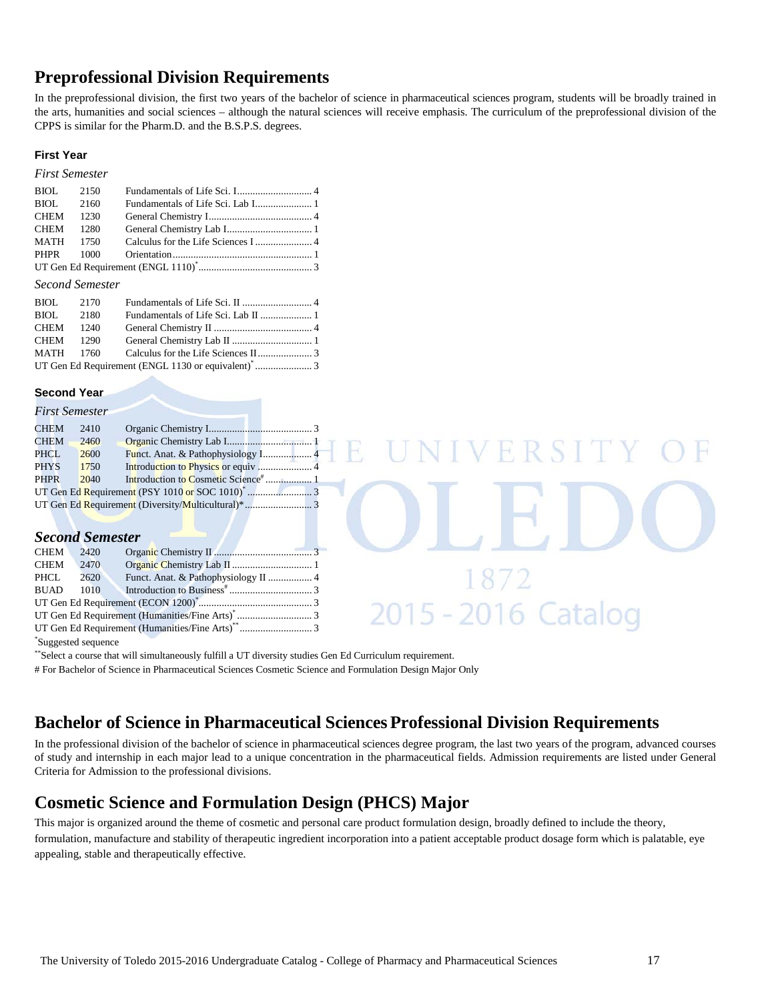# **Preprofessional Division Requirements**

In the preprofessional division, the first two years of the bachelor of science in pharmaceutical sciences program, students will be broadly trained in the arts, humanities and social sciences – although the natural sciences will receive emphasis. The curriculum of the preprofessional division of the CPPS is similar for the Pharm.D. and the B.S.P.S. degrees.

#### **First Year**

#### *First Semester*

| BIOL 2150 |  |  |
|-----------|--|--|
| BIOL 2160 |  |  |
| CHEM 1230 |  |  |
| CHEM 1280 |  |  |
|           |  |  |
|           |  |  |
|           |  |  |

#### *Second Semester*

| BIOL 2170 |  |  |
|-----------|--|--|
| BIOL 2180 |  |  |
| CHEM 1240 |  |  |
|           |  |  |
|           |  |  |
|           |  |  |

UT Gen Ed Requirement (Humanities/Fine Arts)\*\* ............................ 3

#### **Second Year**

|  | <b>First Semester</b> |  |  |
|--|-----------------------|--|--|
|  |                       |  |  |

\* Suggested sequence

| 1 <i>.</i>  |                        |                                                                                                                                                                               |
|-------------|------------------------|-------------------------------------------------------------------------------------------------------------------------------------------------------------------------------|
| <b>CHEM</b> | 2410                   |                                                                                                                                                                               |
| CHEM        | 2460                   |                                                                                                                                                                               |
| PHCL        | 2600                   | ERSITI<br>Funct. Anat. & Pathophysiology I 4                                                                                                                                  |
| <b>PHYS</b> | 1750                   |                                                                                                                                                                               |
| <b>PHPR</b> | 2040                   |                                                                                                                                                                               |
|             |                        |                                                                                                                                                                               |
|             |                        |                                                                                                                                                                               |
|             |                        |                                                                                                                                                                               |
|             | <b>Second Semester</b> |                                                                                                                                                                               |
| <b>CHEM</b> | 2420                   |                                                                                                                                                                               |
| <b>CHEM</b> | 2470                   |                                                                                                                                                                               |
| PHCL        | 2620                   | Funct. Anat. & Pathophysiology II  4                                                                                                                                          |
| <b>BUAD</b> | 1010                   |                                                                                                                                                                               |
|             |                        |                                                                                                                                                                               |
|             |                        | 5 - 2016 Catalog                                                                                                                                                              |
|             |                        | <b>TIP <math>C_{\text{out}}</math> P.1 D <math>\ldots</math> is seen in a (Higgs see if <math>\ldots</math> /Pin <math>\ldots</math> A <math>\ldots</math> )<sup>88</sup></b> |

\*\*Select a course that will simultaneously fulfill a UT diversity studies Gen Ed Curriculum requirement.

# For Bachelor of Science in Pharmaceutical Sciences Cosmetic Science and Formulation Design Major Only

## **Bachelor of Science in Pharmaceutical Sciences Professional Division Requirements**

In the professional division of the bachelor of science in pharmaceutical sciences degree program, the last two years of the program, advanced courses of study and internship in each major lead to a unique concentration in the pharmaceutical fields. Admission requirements are listed under General Criteria for Admission to the professional divisions.

# **Cosmetic Science and Formulation Design (PHCS) Major**

This major is organized around the theme of cosmetic and personal care product formulation design, broadly defined to include the theory, formulation, manufacture and stability of therapeutic ingredient incorporation into a patient acceptable product dosage form which is palatable, eye appealing, stable and therapeutically effective.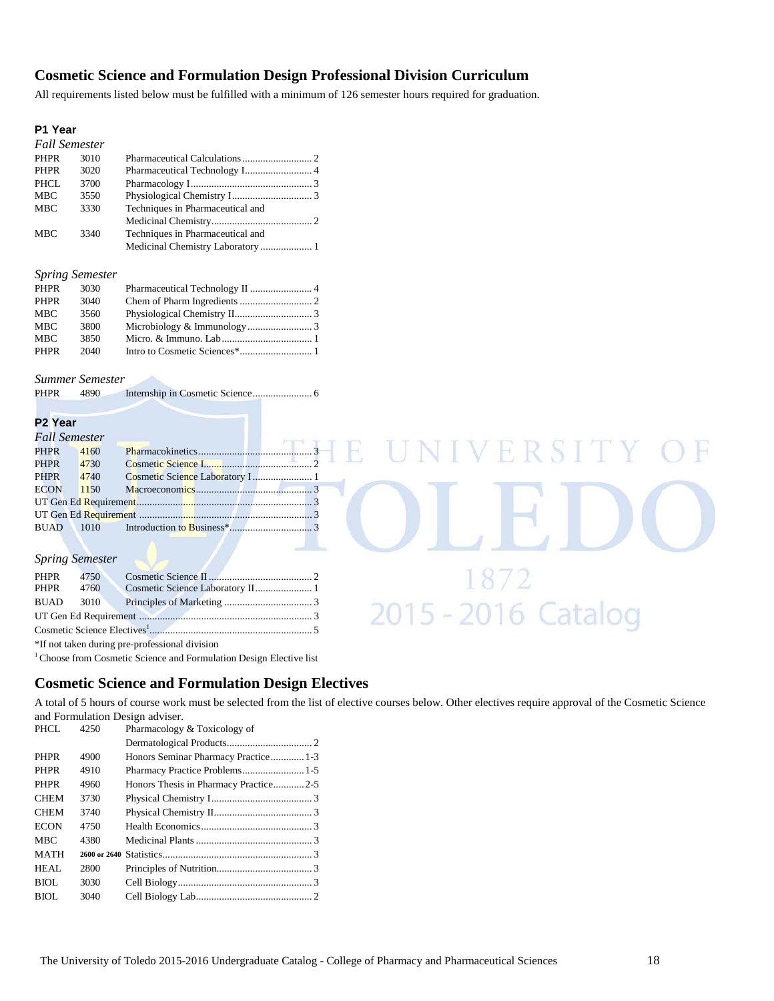#### **Cosmetic Science and Formulation Design Professional Division Curriculum**

All requirements listed below must be fulfilled with a minimum of 126 semester hours required for graduation.

#### **P1 Year**

|             | <b>Fall Semester</b> |                                   |  |
|-------------|----------------------|-----------------------------------|--|
| <b>PHPR</b> | 3010                 |                                   |  |
| PHPR        | 3020                 |                                   |  |
| PHCL        | 3700                 |                                   |  |
| <b>MBC</b>  | 3550                 |                                   |  |
| <b>MBC</b>  | 3330                 | Techniques in Pharmaceutical and  |  |
|             |                      |                                   |  |
| <b>MBC</b>  | 3340                 | Techniques in Pharmaceutical and  |  |
|             |                      | Medicinal Chemistry Laboratory  1 |  |

#### *Spring Semester*

| PHPR        | 3030 |  |
|-------------|------|--|
| <b>PHPR</b> | 3040 |  |
| MBC         | 3560 |  |
| <b>MBC</b>  | 3800 |  |
| <b>MBC</b>  | 3850 |  |
| <b>PHPR</b> | 2040 |  |

#### *Summer Semester*

PHPR 4890 Internship in Cosmetic Science....................... 6

#### **P2 Year**

| Fall Semester |      |  |
|---------------|------|--|
| <b>PHPR</b>   | 4160 |  |
| <b>PHPR</b>   | 4730 |  |
| <b>PHPR</b>   | 4740 |  |
| <b>ECON</b>   | 1150 |  |
|               |      |  |
|               |      |  |
| <b>BUAD</b>   |      |  |

#### *Spring Semester*

| <b>PHPR</b> 4750 |                                  |  |
|------------------|----------------------------------|--|
| PHPR 4760        | Cosmetic Science Laboratory II 1 |  |
| <b>BUAD</b> 3010 |                                  |  |
|                  |                                  |  |
|                  |                                  |  |

\*If not taken during pre-professional division

<sup>1</sup> Choose from Cosmetic Science and Formulation Design Elective list

#### **Cosmetic Science and Formulation Design Electives**

A total of 5 hours of course work must be selected from the list of elective courses below. Other electives require approval of the Cosmetic Science and Formulation Design adviser.

| PHCL.       | 4250 | Pharmacology & Toxicology of          |  |
|-------------|------|---------------------------------------|--|
|             |      |                                       |  |
| <b>PHPR</b> | 4900 | Honors Seminar Pharmacy Practice 1-3  |  |
| <b>PHPR</b> | 4910 |                                       |  |
| <b>PHPR</b> | 4960 | Honors Thesis in Pharmacy Practice2-5 |  |
| <b>CHEM</b> | 3730 |                                       |  |
| <b>CHEM</b> | 3740 |                                       |  |
| <b>ECON</b> | 4750 |                                       |  |
| <b>MBC</b>  | 4380 |                                       |  |
| <b>MATH</b> |      |                                       |  |
| HEAL        | 2800 |                                       |  |
| BIOI.       | 3030 |                                       |  |
| BIOL        | 3040 |                                       |  |
|             |      |                                       |  |

VERSITY

 $\frac{1872}{2015 - 2016}$  Catalog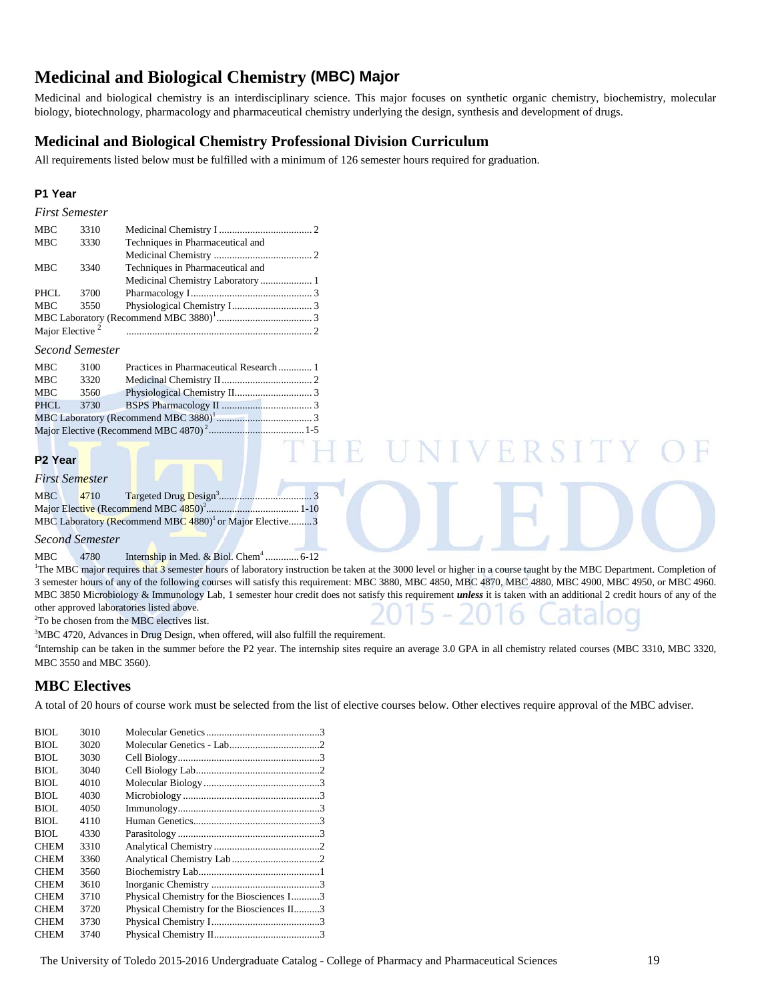# **Medicinal and Biological Chemistry (MBC) Major**

Medicinal and biological chemistry is an interdisciplinary science. This major focuses on synthetic organic chemistry, biochemistry, molecular biology, biotechnology, pharmacology and pharmaceutical chemistry underlying the design, synthesis and development of drugs.

#### **Medicinal and Biological Chemistry Professional Division Curriculum**

All requirements listed below must be fulfilled with a minimum of 126 semester hours required for graduation.

#### **P1 Year**

| <b>First Semester</b>       |      |                                  |  |
|-----------------------------|------|----------------------------------|--|
| <b>MBC</b>                  | 3310 |                                  |  |
| <b>MBC</b>                  | 3330 | Techniques in Pharmaceutical and |  |
|                             |      |                                  |  |
| <b>MBC</b>                  | 3340 | Techniques in Pharmaceutical and |  |
|                             |      |                                  |  |
| <b>PHCL</b>                 | 3700 |                                  |  |
| <b>MBC</b>                  | 3550 |                                  |  |
|                             |      |                                  |  |
| Major Elective <sup>2</sup> |      |                                  |  |

#### *Second Semester*

| MBC  | 3100 |  |
|------|------|--|
| MBC  | 3320 |  |
| MBC  | 3560 |  |
| PHCL |      |  |
|      |      |  |
|      |      |  |

#### **P2 Year**

| First Semester |
|----------------|
|----------------|

| <b>MBC</b> | 4710 |                                                                     |  |
|------------|------|---------------------------------------------------------------------|--|
|            |      |                                                                     |  |
|            |      | MBC Laboratory (Recommend MBC 4880) <sup>1</sup> or Major Elective3 |  |

#### *Second Semester*

MBC 4780 Internship in Med. & Biol. Chem<sup>4</sup> .............. 6-12

<sup>1</sup>The MBC major requires that 3 semester hours of laboratory instruction be taken at the 3000 level or higher in a course taught by the MBC Department. Completion of 3 semester hours of any of the following courses will satisfy this requirement: MBC 3880, MBC 4850, MBC 4870, MBC 4880, MBC 4900, MBC 4950, or MBC 4960. MBC 3850 Microbiology & Immunology Lab, 1 semester hour credit does not satisfy this requirement *unless* it is taken with an additional 2 credit hours of any of the other approved laboratories listed above.

 $H \cdot R$ 

<sup>2</sup>To be chosen from the MBC electives list.

<sup>3</sup>MBC 4720, Advances in Drug Design, when offered, will also fulfill the requirement.

<sup>4</sup>Internship can be taken in the summer before the P2 year. The internship sites require an average 3.0 GPA in all chemistry related courses (MBC 3310, MBC 3320, MBC 3550 and MBC 3560).

#### **MBC Electives**

A total of 20 hours of course work must be selected from the list of elective courses below. Other electives require approval of the MBC adviser.

| BIOL        | 3010 |                                            |  |
|-------------|------|--------------------------------------------|--|
| <b>BIOL</b> | 3020 |                                            |  |
| BIOL        | 3030 |                                            |  |
| BIOL        | 3040 |                                            |  |
| BIOL        | 4010 |                                            |  |
| <b>BIOL</b> | 4030 |                                            |  |
| BIOL        | 4050 |                                            |  |
| BIOL        | 4110 |                                            |  |
| BIOL.       | 4330 |                                            |  |
| <b>CHEM</b> | 3310 |                                            |  |
| <b>CHEM</b> | 3360 |                                            |  |
| <b>CHEM</b> | 3560 |                                            |  |
| <b>CHEM</b> | 3610 |                                            |  |
| <b>CHEM</b> | 3710 | Physical Chemistry for the Biosciences I3  |  |
| <b>CHEM</b> | 3720 | Physical Chemistry for the Biosciences II3 |  |
| <b>CHEM</b> | 3730 |                                            |  |
| <b>CHEM</b> | 3740 |                                            |  |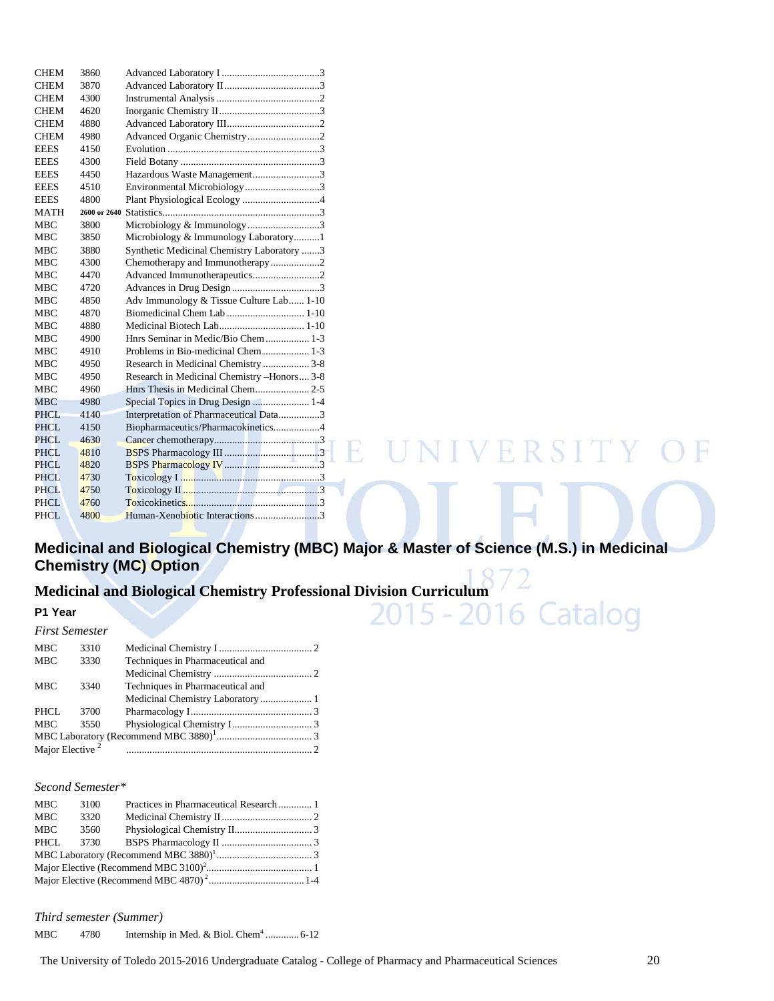| <b>CHEM</b> | 3860         |                                             |
|-------------|--------------|---------------------------------------------|
| <b>CHEM</b> | 3870         |                                             |
| <b>CHEM</b> | 4300         |                                             |
| <b>CHEM</b> | 4620         |                                             |
| <b>CHEM</b> | 4880         |                                             |
| <b>CHEM</b> | 4980         | Advanced Organic Chemistry2                 |
| <b>EEES</b> | 4150         |                                             |
| <b>EEES</b> | 4300         |                                             |
| <b>EEES</b> | 4450         | Hazardous Waste Management3                 |
| <b>EEES</b> | 4510         | Environmental Microbiology3                 |
| <b>EEES</b> | 4800         |                                             |
| <b>MATH</b> | 2600 or 2640 |                                             |
| <b>MBC</b>  | 3800         | Microbiology & Immunology3                  |
| <b>MBC</b>  | 3850         | Microbiology & Immunology Laboratory1       |
| <b>MBC</b>  | 3880         | Synthetic Medicinal Chemistry Laboratory 3  |
| <b>MBC</b>  | 4300         | Chemotherapy and Immunotherapy2             |
| <b>MBC</b>  | 4470         | Advanced Immunotherapeutics2                |
| <b>MBC</b>  | 4720         |                                             |
| <b>MBC</b>  | 4850         | Adv Immunology & Tissue Culture Lab 1-10    |
| <b>MBC</b>  | 4870         |                                             |
| <b>MBC</b>  | 4880         |                                             |
| <b>MBC</b>  | 4900         | Hnrs Seminar in Medic/Bio Chem  1-3         |
| <b>MBC</b>  | 4910         | Problems in Bio-medicinal Chem  1-3         |
| <b>MBC</b>  | 4950         | Research in Medicinal Chemistry  3-8        |
| <b>MBC</b>  | 4950         | Research in Medicinal Chemistry -Honors 3-8 |
| <b>MBC</b>  | 4960         |                                             |
| <b>MBC</b>  | 4980         |                                             |
| <b>PHCL</b> | 4140         | Interpretation of Pharmaceutical Data3      |
| <b>PHCL</b> | 4150         | Biopharmaceutics/Pharmacokinetics4          |
| <b>PHCL</b> | 4630         |                                             |
| <b>PHCL</b> | 4810         | ERSIT                                       |
| <b>PHCL</b> | 4820         |                                             |
| <b>PHCL</b> | 4730         |                                             |
| <b>PHCL</b> | 4750         |                                             |
| <b>PHCL</b> | 4760         |                                             |
| <b>PHCL</b> | 4800         | Human-Xenobiotic Interactions3              |

# **Medicinal and Biological Chemistry (MBC) Major & Master of Science (M.S.) in Medicinal Chemistry (MC) Option**

# Medicinal and Biological Chemistry Professional Division Curriculum<br>P1 Year<br>First Semester

#### **P1 Year**

*First Semester*

| 1 <i>use sentester</i>      |      |                                  |  |
|-----------------------------|------|----------------------------------|--|
| <b>MBC</b>                  | 3310 |                                  |  |
| <b>MBC</b>                  | 3330 | Techniques in Pharmaceutical and |  |
|                             |      |                                  |  |
| <b>MBC</b>                  | 3340 | Techniques in Pharmaceutical and |  |
|                             |      |                                  |  |
| PHCL                        | 3700 |                                  |  |
| <b>MBC</b>                  | 3550 |                                  |  |
|                             |      |                                  |  |
| Major Elective <sup>2</sup> |      |                                  |  |
|                             |      |                                  |  |

#### *Second Semester\**

| MBC  | 3100 |  |
|------|------|--|
| MBC  | 3320 |  |
| MBC  | 3560 |  |
| PHCL | 3730 |  |
|      |      |  |
|      |      |  |
|      |      |  |
|      |      |  |

*Third semester (Summer)* 

MBC 4780 Internship in Med. & Biol. Chem<sup>4</sup> .............. 6-12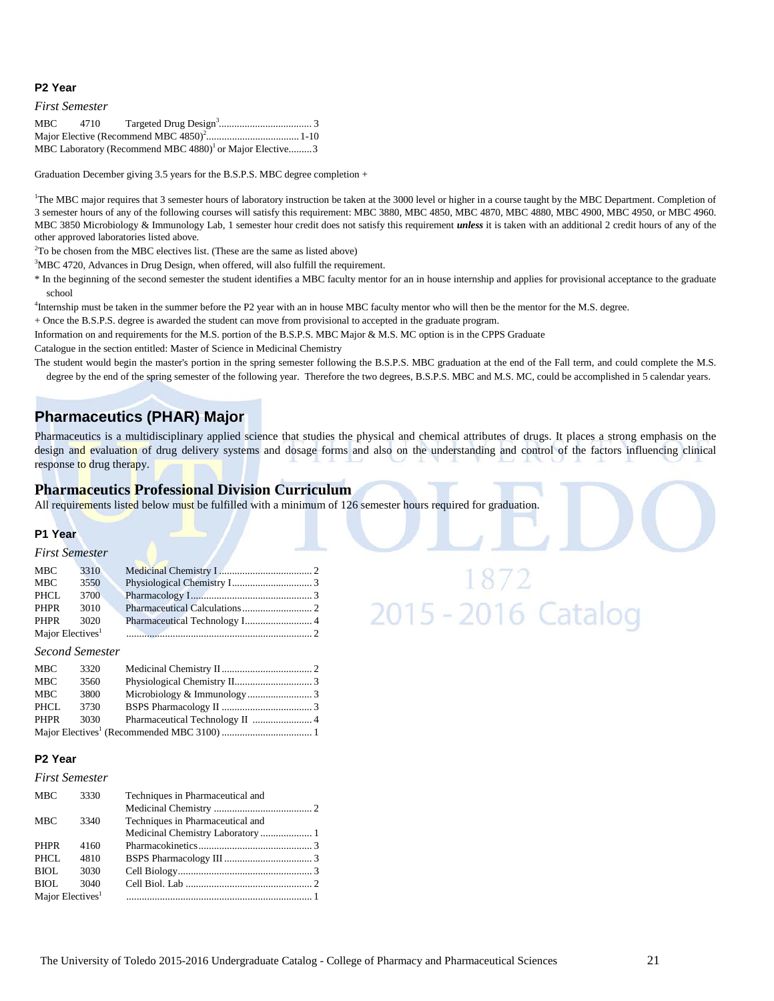#### **P2 Year**

#### *First Semester*

| MBC 4710 |                                                                     |  |
|----------|---------------------------------------------------------------------|--|
|          |                                                                     |  |
|          | MBC Laboratory (Recommend MBC 4880) <sup>1</sup> or Major Elective3 |  |

Graduation December giving 3.5 years for the B.S.P.S. MBC degree completion +

<sup>1</sup>The MBC major requires that 3 semester hours of laboratory instruction be taken at the 3000 level or higher in a course taught by the MBC Department. Completion of 3 semester hours of any of the following courses will satisfy this requirement: MBC 3880, MBC 4850, MBC 4870, MBC 4880, MBC 4900, MBC 4950, or MBC 4960. MBC 3850 Microbiology & Immunology Lab, 1 semester hour credit does not satisfy this requirement *unless* it is taken with an additional 2 credit hours of any of the other approved laboratories listed above.

 $2^2$ To be chosen from the MBC electives list. (These are the same as listed above)

<sup>3</sup>MBC 4720, Advances in Drug Design, when offered, will also fulfill the requirement.

\* In the beginning of the second semester the student identifies a MBC faculty mentor for an in house internship and applies for provisional acceptance to the graduate school

<sup>4</sup>Internship must be taken in the summer before the P2 year with an in house MBC faculty mentor who will then be the mentor for the M.S. degree.

+ Once the B.S.P.S. degree is awarded the student can move from provisional to accepted in the graduate program.

Information on and requirements for the M.S. portion of the B.S.P.S. MBC Major & M.S. MC option is in the CPPS Graduate

Catalogue in the section entitled: Master of Science in Medicinal Chemistry

The student would begin the master's portion in the spring semester following the B.S.P.S. MBC graduation at the end of the Fall term, and could complete the M.S. degree by the end of the spring semester of the following year. Therefore the two degrees, B.S.P.S. MBC and M.S. MC, could be accomplished in 5 calendar years.

#### **Pharmaceutics (PHAR) Major**

Pharmaceutics is a multidisciplinary applied science that studies the physical and chemical attributes of drugs. It places a strong emphasis on the design and evaluation of drug delivery systems and dosage forms and also on the understanding and control of the factors influencing clinical response to drug therapy.

1872<br>2015 - 2016 Catalog

#### **Pharmaceutics Professional Division Curriculum**

All requirements listed below must be fulfilled with a minimum of 126 semester hours required for graduation.

#### **P1 Year**

#### *First Semester*

| MBC                          | 3310 |  |
|------------------------------|------|--|
| MBC                          | 3550 |  |
| PHCL.                        | 3700 |  |
| PHPR                         | 3010 |  |
| PHPR                         | 3020 |  |
| Major Electives <sup>1</sup> |      |  |

#### *Second Semester*

| <b>MBC</b> | 3320 |  |
|------------|------|--|
| <b>MBC</b> | 3560 |  |
| MBC        | 3800 |  |
| PHCL       | 3730 |  |
| PHPR       | 3030 |  |
|            |      |  |

#### **P2 Year**

#### *First Semester*

| <b>MBC</b>                   | 3330 | Techniques in Pharmaceutical and |  |
|------------------------------|------|----------------------------------|--|
|                              |      |                                  |  |
| <b>MBC</b>                   | 3340 | Techniques in Pharmaceutical and |  |
|                              |      |                                  |  |
| <b>PHPR</b>                  | 4160 |                                  |  |
| PHCL.                        | 4810 |                                  |  |
| BIOL                         | 3030 |                                  |  |
| BIOL                         | 3040 |                                  |  |
| Major Electives <sup>1</sup> |      |                                  |  |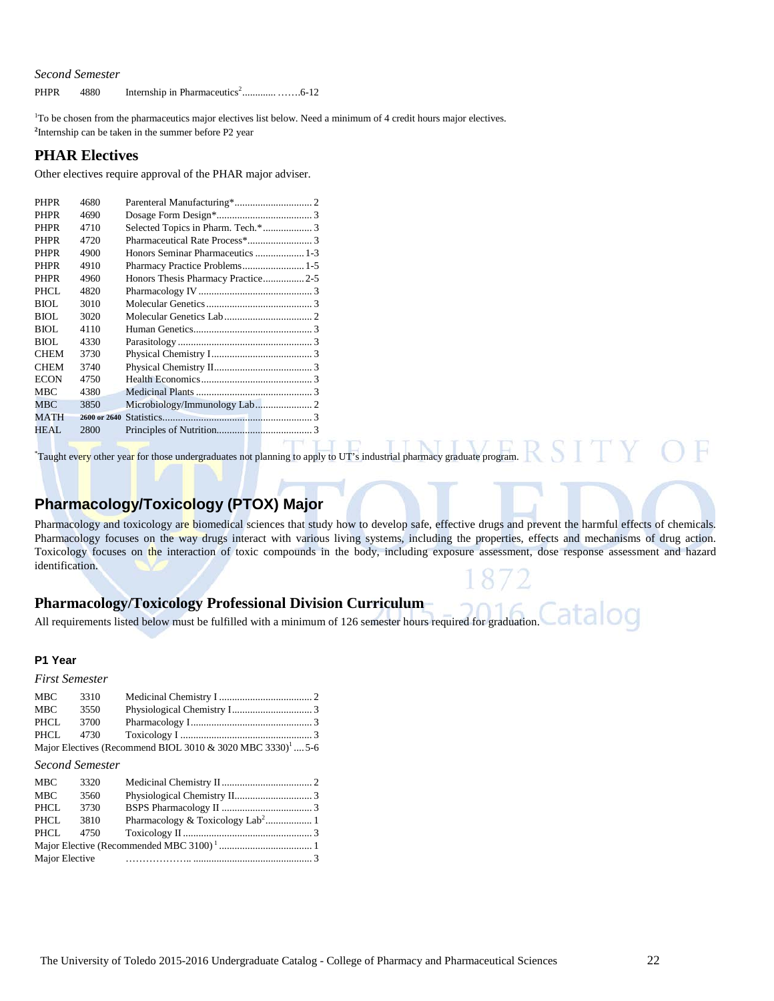PHPR 4880 Internship in Pharmaceutics2 ............. …….6-12

1 To be chosen from the pharmaceutics major electives list below. Need a minimum of 4 credit hours major electives. **2** Internship can be taken in the summer before P2 year

#### **PHAR Electives**

Other electives require approval of the PHAR major adviser.

| <b>PHPR</b> | 4680 |                                    |  |
|-------------|------|------------------------------------|--|
| <b>PHPR</b> | 4690 |                                    |  |
| <b>PHPR</b> | 4710 | Selected Topics in Pharm. Tech.* 3 |  |
| <b>PHPR</b> | 4720 |                                    |  |
| <b>PHPR</b> | 4900 | Honors Seminar Pharmaceutics  1-3  |  |
| <b>PHPR</b> | 4910 | Pharmacy Practice Problems 1-5     |  |
| <b>PHPR</b> | 4960 | Honors Thesis Pharmacy Practice2-5 |  |
| PHCL        | 4820 |                                    |  |
| <b>BIOL</b> | 3010 |                                    |  |
| BIOL        | 3020 |                                    |  |
| <b>BIOL</b> | 4110 |                                    |  |
| BIOL        | 4330 |                                    |  |
| <b>CHEM</b> | 3730 |                                    |  |
| <b>CHEM</b> | 3740 |                                    |  |
| <b>ECON</b> | 4750 |                                    |  |
| MBC         | 4380 |                                    |  |
| MBC         | 3850 |                                    |  |
| MATH        |      |                                    |  |
| HEAL        | 2800 |                                    |  |
|             |      |                                    |  |

Taught every other year for those undergraduates not planning to apply to UT's industrial pharmacy graduate program.

#### **Pharmacology/Toxicology (PTOX) Major**

Pharmacology and toxicology are biomedical sciences that study how to develop safe, effective drugs and prevent the harmful effects of chemicals. Pharmacology focuses on the way drugs interact with various living systems, including the properties, effects and mechanisms of drug action. Toxicology focuses on the interaction of toxic compounds in the body, including exposure assessment, dose response assessment and hazard identification.

#### **Pharmacology/Toxicology Professional Division Curriculum**

Catalog All requirements listed below must be fulfilled with a minimum of 126 semester hours required for graduation.

#### **P1 Year**

*First Semester*

| MBC  | 3310      |                                                                        |  |
|------|-----------|------------------------------------------------------------------------|--|
| MBC  | 3550      |                                                                        |  |
| PHCL | 3700      |                                                                        |  |
|      | PHCL 4730 |                                                                        |  |
|      |           | Major Electives (Recommend BIOL 3010 & 3020 MBC 3330) <sup>1</sup> 5-6 |  |

#### *Second Semester*

| <b>MBC</b>     | 3320 |  |
|----------------|------|--|
| <b>MBC</b>     | 3560 |  |
| PHCL           | 3730 |  |
| PHCL           | 3810 |  |
| PHCL           | 4750 |  |
|                |      |  |
| Major Elective |      |  |
|                |      |  |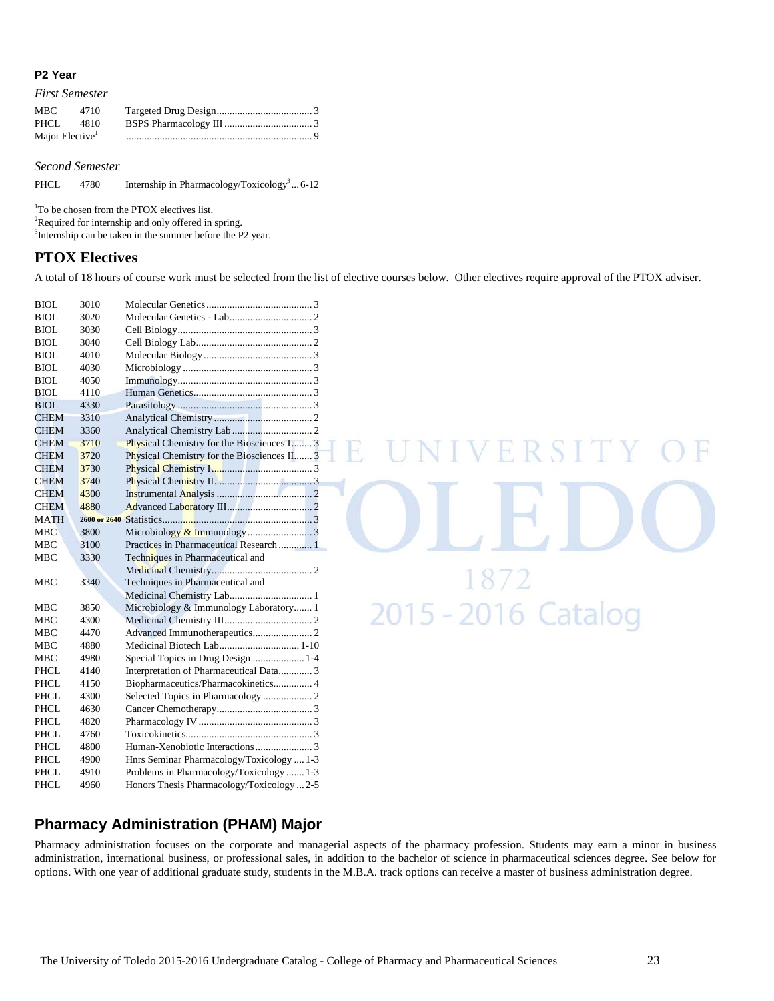#### **P2 Year**

*First Semester*

| <b>MBC</b>                  | 4710 |  |
|-----------------------------|------|--|
| PHCL 4810                   |      |  |
| Major Elective <sup>1</sup> |      |  |

*Second Semester*

PHCL 4780 Internship in Pharmacology/Toxicology<sup>3</sup>... 6-12

1 To be chosen from the PTOX electives list.

<sup>2</sup>Required for internship and only offered in spring.

<sup>3</sup>Internship can be taken in the summer before the P2 year.

#### **PTOX Electives**

A total of 18 hours of course work must be selected from the list of elective courses below. Other electives require approval of the PTOX adviser.

| <b>BIOL</b>         | 3010 |                                                                                      |
|---------------------|------|--------------------------------------------------------------------------------------|
| BIOL                | 3020 |                                                                                      |
| <b>BIOL</b>         | 3030 |                                                                                      |
| BIOL                | 3040 |                                                                                      |
| BIOL                | 4010 |                                                                                      |
| <b>BIOL</b>         | 4030 |                                                                                      |
| <b>BIOL</b>         | 4050 |                                                                                      |
| <b>BIOL</b>         | 4110 |                                                                                      |
| BIOL                | 4330 |                                                                                      |
| <b>CHEM</b>         | 3310 |                                                                                      |
| <b>CHEM</b>         | 3360 |                                                                                      |
| <b>CHEM</b>         | 3710 | Physical Chemistry for the Biosciences I 3                                           |
| <b>CHEM</b>         | 3720 | Physical Chemistry for the Biosciences II 3                                          |
| <b>CHEM</b>         | 3730 |                                                                                      |
| <b>CHEM</b>         | 3740 |                                                                                      |
| <b>CHEM</b>         | 4300 |                                                                                      |
| <b>CHEM</b>         | 4880 |                                                                                      |
| <b>MATH</b>         |      |                                                                                      |
| <b>MBC</b>          | 3800 |                                                                                      |
| <b>MBC</b>          | 3100 | Practices in Pharmaceutical Research  1                                              |
| <b>MBC</b>          | 3330 | Techniques in Pharmaceutical and                                                     |
|                     |      |                                                                                      |
| MBC                 | 3340 | Techniques in Pharmaceutical and                                                     |
|                     |      | Medicinal Chemistry Lab 1                                                            |
| MBC                 | 3850 | Microbiology & Immunology Laboratory 1                                               |
| <b>MBC</b>          | 4300 |                                                                                      |
| <b>MBC</b>          | 4470 |                                                                                      |
| <b>MBC</b>          | 4880 | Medicinal Biotech Lab 1-10                                                           |
| <b>MBC</b>          | 4980 | Special Topics in Drug Design  1-4                                                   |
| PHCL                | 4140 | Interpretation of Pharmaceutical Data 3                                              |
| <b>PHCL</b>         | 4150 | Biopharmaceutics/Pharmacokinetics 4                                                  |
| PHCL                | 4300 |                                                                                      |
| <b>PHCL</b>         | 4630 |                                                                                      |
| <b>PHCL</b>         | 4820 |                                                                                      |
| PHCL                | 4760 |                                                                                      |
| <b>PHCL</b>         | 4800 |                                                                                      |
| <b>PHCL</b>         | 4900 | Hnrs Seminar Pharmacology/Toxicology  1-3                                            |
|                     |      |                                                                                      |
| PHCL<br><b>PHCL</b> | 4910 | Problems in Pharmacology/Toxicology1-3<br>Honors Thesis Pharmacology/Toxicology  2-5 |

# E UNIVERSITY 1872<br>2015 - 2016 Catalog

#### **Pharmacy Administration (PHAM) Major**

Pharmacy administration focuses on the corporate and managerial aspects of the pharmacy profession. Students may earn a minor in business administration, international business, or professional sales, in addition to the bachelor of science in pharmaceutical sciences degree. See below for options. With one year of additional graduate study, students in the M.B.A. track options can receive a master of business administration degree.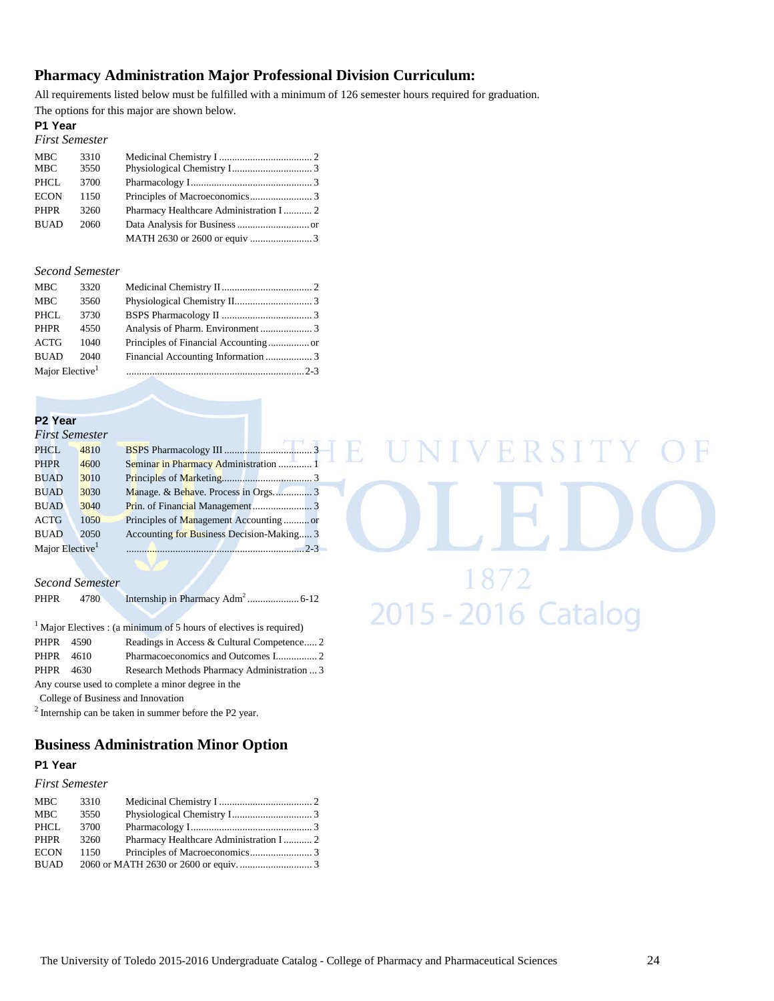#### **Pharmacy Administration Major Professional Division Curriculum:**

All requirements listed below must be fulfilled with a minimum of 126 semester hours required for graduation. The options for this major are shown below.

#### **P1 Year**

| 3310 |                                         |
|------|-----------------------------------------|
| 3550 |                                         |
| 3700 |                                         |
| 1150 |                                         |
| 3260 |                                         |
| 2060 |                                         |
|      |                                         |
|      | Pharmacy Healthcare Administration I  2 |

#### *Second Semester*

| <b>MBC</b>                  | 3320 |  |
|-----------------------------|------|--|
| <b>MBC</b>                  | 3560 |  |
| PHCL                        | 3730 |  |
| PHPR                        | 4550 |  |
| ACTG                        | 1040 |  |
| <b>BUAD</b>                 | 2040 |  |
| Major Elective <sup>1</sup> |      |  |

#### **P2 Year**

| <b>First Semester</b>       |      |                                           |  |
|-----------------------------|------|-------------------------------------------|--|
| <b>PHCL</b>                 | 4810 |                                           |  |
| <b>PHPR</b>                 | 4600 | Seminar in Pharmacy Administration  1     |  |
| <b>BUAD</b>                 | 3010 |                                           |  |
| <b>BUAD</b>                 | 3030 |                                           |  |
| <b>BUAD</b>                 | 3040 |                                           |  |
| <b>ACTG</b>                 | 1050 | Principles of Management Accountingor     |  |
| <b>BUAD</b>                 | 2050 | Accounting for Business Decision-Making 3 |  |
| Major Elective <sup>1</sup> |      |                                           |  |

#### *Second Semester*

PHPR 4780 Internship in Pharmacy Adm<sup>2</sup> .................... 6-12

|           | $1$ Major Electives : (a minimum of 5 hours of electives is required) |  |
|-----------|-----------------------------------------------------------------------|--|
| PHPR 4590 | Readings in Access & Cultural Competence 2                            |  |
| PHPR 4610 |                                                                       |  |
| PHPR 4630 | Research Methods Pharmacy Administration  3                           |  |
|           | Any course used to complete a minor degree in the                     |  |
|           | College of Business and Innovation                                    |  |

2 Internship can be taken in summer before the P2 year.

#### **Business Administration Minor Option**

#### **P1 Year**

#### *First Semester*

| MBC         | 3310 |                                         |  |
|-------------|------|-----------------------------------------|--|
| <b>MBC</b>  | 3550 |                                         |  |
| PHCL        | 3700 |                                         |  |
| PHPR        | 3260 | Pharmacy Healthcare Administration I  2 |  |
| <b>ECON</b> | 1150 |                                         |  |
| <b>BUAD</b> |      |                                         |  |
|             |      |                                         |  |

# NIVERSITY  $E$ 1872<br>2015 - 2016 Catalog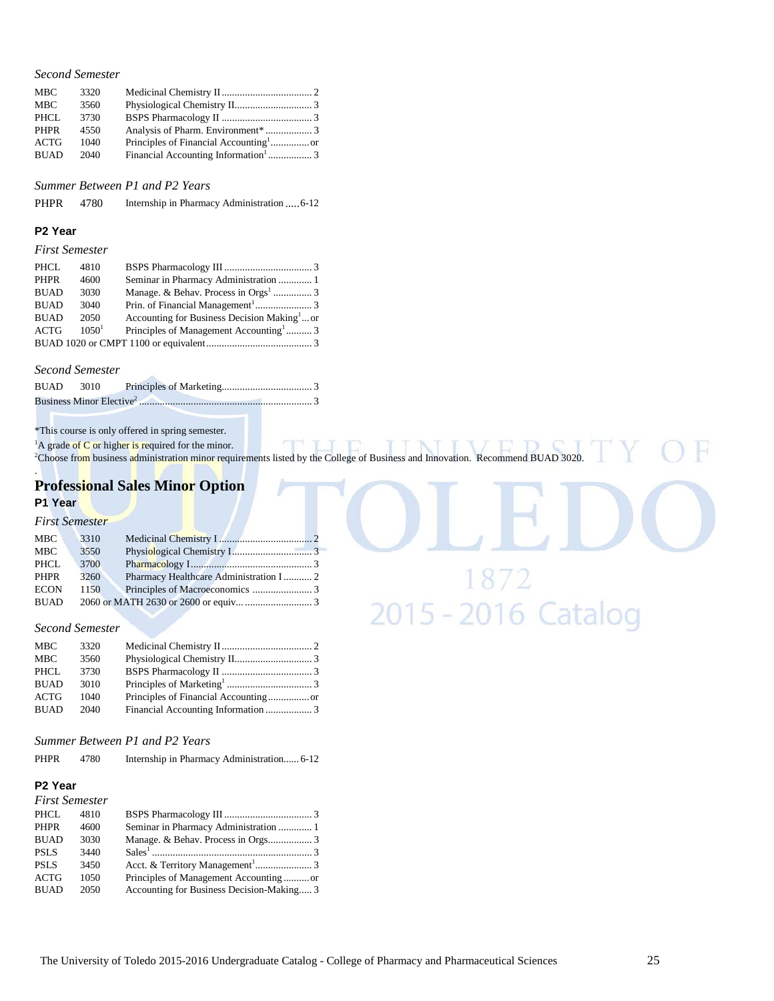| <b>MBC</b>  | 3320 |  |
|-------------|------|--|
| <b>MBC</b>  | 3560 |  |
| PHCL        | 3730 |  |
| <b>PHPR</b> | 4550 |  |
| ACTG        | 1040 |  |
| <b>BUAD</b> | 2040 |  |
|             |      |  |

*Summer Between P1 and P2 Years*

PHPR 4780 Internship in Pharmacy Administration ..... 6-12

#### **P2 Year**

#### *First Semester*

| PHCL        | 4810     |                                                         |  |
|-------------|----------|---------------------------------------------------------|--|
| <b>PHPR</b> | 4600     | Seminar in Pharmacy Administration  1                   |  |
| <b>BUAD</b> | 3030     |                                                         |  |
| <b>BUAD</b> | 3040     |                                                         |  |
| <b>BUAD</b> | 2050     | Accounting for Business Decision Making <sup>1</sup> or |  |
| <b>ACTG</b> | $1050^1$ | Principles of Management Accounting  3                  |  |
|             |          |                                                         |  |

#### *Second Semester*

| <b>BUAD</b> 3010 |  |  |
|------------------|--|--|
|                  |  |  |

\*This course is only offered in spring semester.

<sup>1</sup>A grade of C or higher is required for the minor.<br><sup>2</sup>Choose from business administration minor requirements listed by the College of Business and Innovation. Recommend BUAD 3020.

#### . **Professional Sales Minor Option P1 Year**

#### *First Semester*

| Pharmacy Healthcare Administration I  2 |
|-----------------------------------------|
|                                         |
|                                         |
|                                         |

#### *Second Semester*

| <b>MBC</b>  | 3320 |  |
|-------------|------|--|
| MBC         | 3560 |  |
| <b>PHCL</b> | 3730 |  |
| <b>BUAD</b> | 3010 |  |
| ACTG        | 1040 |  |
| <b>BUAD</b> | 2040 |  |
|             |      |  |

#### *Summer Between P1 and P2 Years*

| <b>PHPR</b> | 4780 | Internship in Pharmacy Administration 6-12 |  |
|-------------|------|--------------------------------------------|--|
|             |      |                                            |  |

#### **P2 Year**

|             | <b>First Semester</b> |
|-------------|-----------------------|
| $- - - - -$ | $\cdots$              |

| PHCL        | 4810 |                                           |  |
|-------------|------|-------------------------------------------|--|
| <b>PHPR</b> | 4600 | Seminar in Pharmacy Administration  1     |  |
| <b>BUAD</b> | 3030 |                                           |  |
| <b>PSLS</b> | 3440 |                                           |  |
| <b>PSLS</b> | 3450 |                                           |  |
| <b>ACTG</b> | 1050 | Principles of Management Accountingor     |  |
| <b>BUAD</b> | 2050 | Accounting for Business Decision-Making 3 |  |

1872<br>2015 - 2016 Catalog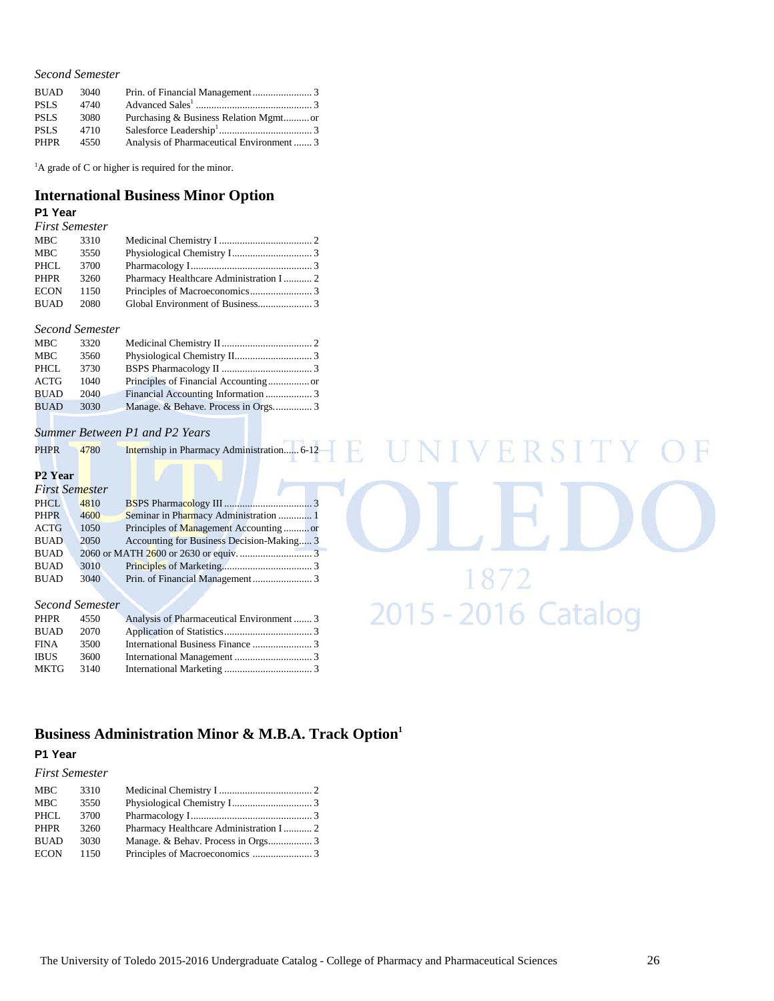| <b>BUAD</b> | 3040 |                                           |  |
|-------------|------|-------------------------------------------|--|
| <b>PSLS</b> | 4740 |                                           |  |
| <b>PSLS</b> | 3080 |                                           |  |
| <b>PSLS</b> | 4710 |                                           |  |
| <b>PHPR</b> | 4550 | Analysis of Pharmaceutical Environment  3 |  |

<sup>1</sup>A grade of C or higher is required for the minor.

#### **International Business Minor Option P1 Year**

#### *First Semester*

| MBC         | 3310 |                                        |  |
|-------------|------|----------------------------------------|--|
| MBC         | 3550 |                                        |  |
| PHCL        | 3700 |                                        |  |
| PHPR        | 3260 | Pharmacy Healthcare Administration I 2 |  |
| <b>ECON</b> | 1150 |                                        |  |
| <b>BUAD</b> | 2080 |                                        |  |

#### *Second Semester*

| <b>MBC</b>  | 3320 |  |
|-------------|------|--|
| MBC         | 3560 |  |
| PHCL        | 3730 |  |
| ACTG        | 1040 |  |
| <b>BUAD</b> | 2040 |  |
| BUAD        | 3030 |  |

#### *Summer Between P1 and P2 Years*

| <b>PHPR</b> | 4780 | <b>Internship in Pharmacy Administration 6-12</b> |
|-------------|------|---------------------------------------------------|

#### **P2 Year**

|             | First Semester |                                           |  |
|-------------|----------------|-------------------------------------------|--|
| <b>PHCL</b> | 4810           |                                           |  |
| PHPR        | 4600           | Seminar in Pharmacy Administration  1     |  |
| <b>ACTG</b> | 1050           | Principles of Management Accountingor     |  |
| <b>BUAD</b> | 2050           | Accounting for Business Decision-Making 3 |  |
| <b>BUAD</b> |                |                                           |  |
| <b>BUAD</b> | 3010           |                                           |  |
| <b>BUAD</b> | 3040           |                                           |  |

#### *Second Semester*

| PHPR        | 4550 | Analysis of Pharmaceutical Environment 3 |  |
|-------------|------|------------------------------------------|--|
| <b>BUAD</b> | 2070 |                                          |  |
| <b>FINA</b> | 3500 |                                          |  |
| <b>IBUS</b> | 3600 |                                          |  |
| <b>MKTG</b> | 3140 |                                          |  |

### Business Administration Minor & M.B.A. Track Option<sup>1</sup>

#### **P1 Year**

|             | <b>First Semester</b> |                                         |  |
|-------------|-----------------------|-----------------------------------------|--|
| <b>MBC</b>  | 3310                  |                                         |  |
| MBC.        | 3550                  |                                         |  |
| <b>PHCL</b> | 3700                  |                                         |  |
| <b>PHPR</b> | 3260                  | Pharmacy Healthcare Administration I  2 |  |
| <b>BUAD</b> | 3030                  |                                         |  |
| <b>ECON</b> | 1150                  |                                         |  |

VERSITY

1872<br>2015 - 2016 Catalog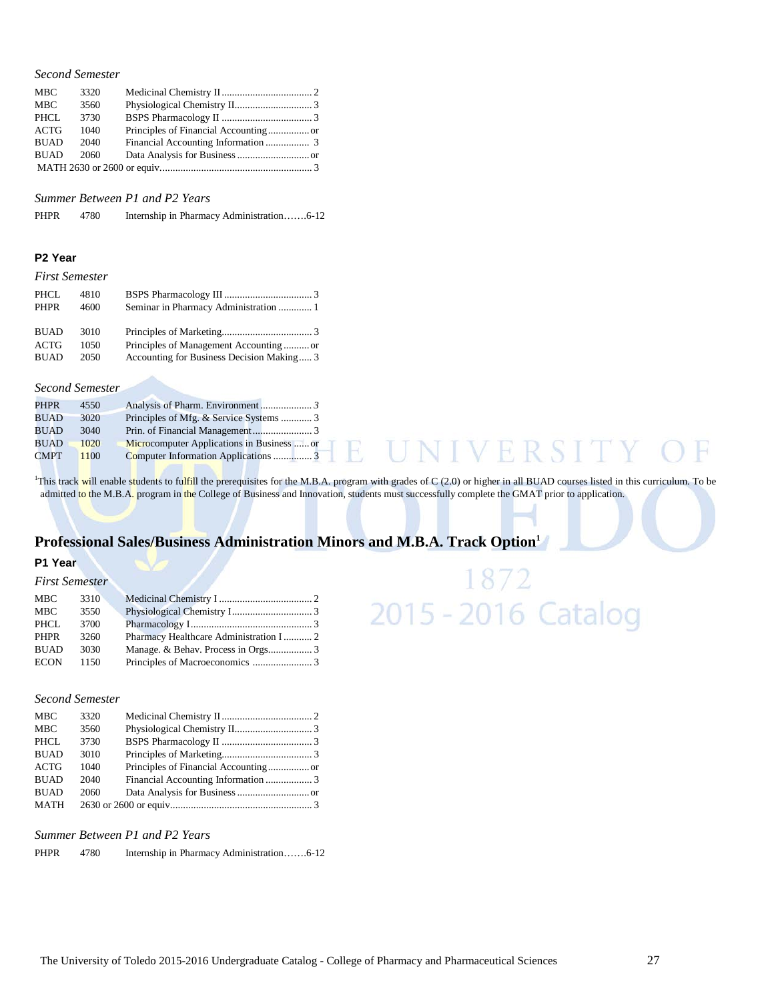| <b>MBC</b>  | 3320 |  |
|-------------|------|--|
| <b>MBC</b>  | 3560 |  |
| PHCL        | 3730 |  |
| ACTG        | 1040 |  |
| <b>BUAD</b> | 2040 |  |
| <b>BUAD</b> | 2060 |  |
|             |      |  |

*Summer Between P1 and P2 Years*

| <b>PHPR</b> | 4780 |  |  |
|-------------|------|--|--|
|-------------|------|--|--|

#### **P2 Year**

#### *First Semester*

| PHCL        | 4810 |                                           |
|-------------|------|-------------------------------------------|
| PHPR        | 4600 |                                           |
| <b>BUAD</b> | 3010 |                                           |
| <b>ACTG</b> | 1050 | Principles of Management Accountingor     |
| <b>BUAD</b> | 2050 | Accounting for Business Decision Making 3 |

#### *Second Semester*

| <b>PHPR</b> | 4550 |                                           |
|-------------|------|-------------------------------------------|
| BUAD        | 3020 |                                           |
| <b>BUAD</b> | 3040 |                                           |
| <b>BUAD</b> | 1020 | Microcomputer Applications in Business or |
| <b>CMPT</b> | 1100 |                                           |

<sup>1</sup>This track will enable students to fulfill the prerequisites for the M.B.A. program with grades of C (2.0) or higher in all BUAD courses listed in this curriculum. To be admitted to the M.B.A. program in the College of Business and Innovation, students must successfully complete the GMAT prior to application.

#### **Professional Sales/Business Administration Minors and M.B.A. Track Option1**

#### **P1 Year**

| <b>First Semester</b> |      |                                         |  |
|-----------------------|------|-----------------------------------------|--|
| MBC                   | 3310 |                                         |  |
| MBC                   | 3550 |                                         |  |
| PHCL                  | 3700 |                                         |  |
| <b>PHPR</b>           | 3260 | Pharmacy Healthcare Administration I  2 |  |
| <b>BUAD</b>           | 3030 |                                         |  |
| <b>ECON</b>           | 1150 |                                         |  |

#### *Second Semester*

| <b>MBC</b>  | 3320 |  |
|-------------|------|--|
| <b>MBC</b>  | 3560 |  |
| <b>PHCL</b> | 3730 |  |
| <b>BUAD</b> | 3010 |  |
| <b>ACTG</b> | 1040 |  |
| <b>BUAD</b> | 2040 |  |
| <b>BUAD</b> | 2060 |  |
| MATH        |      |  |
|             |      |  |

#### *Summer Between P1 and P2 Years*

PHPR 4780 Internship in Pharmacy Administration…….6-12

**NIVERSITY** 

H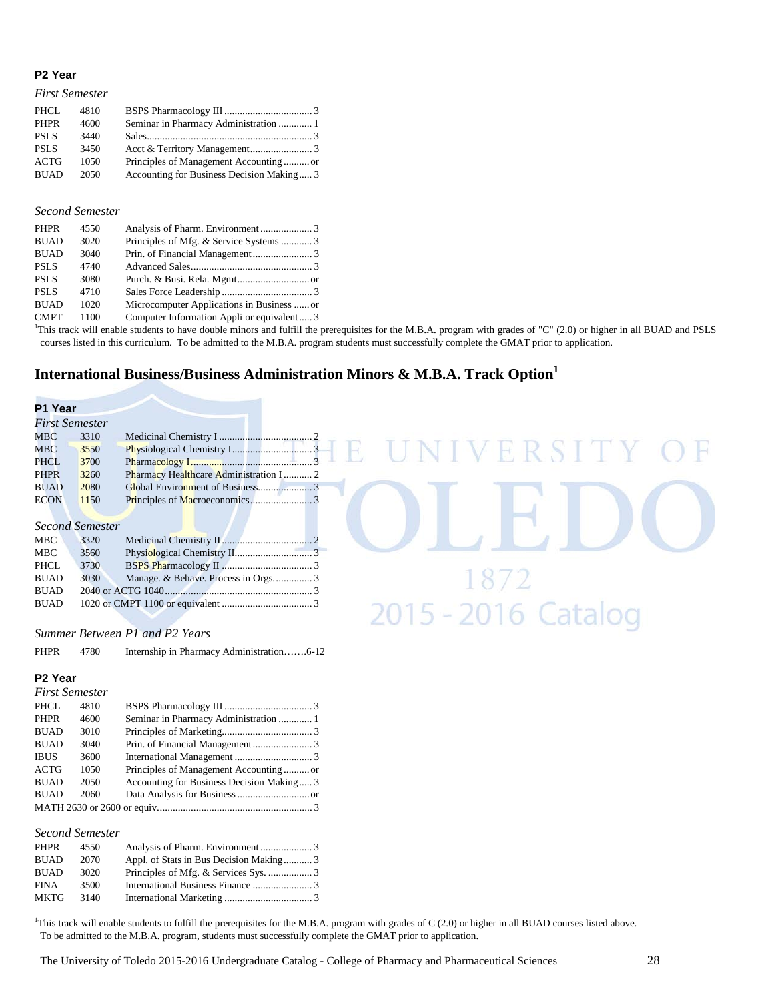#### **P2 Year**

#### *First Semester*

| PHCL.       | 4810 |                                           |  |
|-------------|------|-------------------------------------------|--|
| <b>PHPR</b> | 4600 |                                           |  |
| <b>PSLS</b> | 3440 |                                           |  |
| <b>PSLS</b> | 3450 |                                           |  |
| <b>ACTG</b> | 1050 | Principles of Management Accountingor     |  |
| <b>BUAD</b> | 2050 | Accounting for Business Decision Making 3 |  |

#### *Second Semester*

| <b>PHPR</b> | 4550 |                                            |  |
|-------------|------|--------------------------------------------|--|
| <b>BUAD</b> | 3020 |                                            |  |
| <b>BUAD</b> | 3040 |                                            |  |
| <b>PSLS</b> | 4740 |                                            |  |
| <b>PSLS</b> | 3080 |                                            |  |
| <b>PSLS</b> | 4710 |                                            |  |
| <b>BUAD</b> | 1020 | Microcomputer Applications in Business  or |  |
| <b>CMPT</b> | 1100 | Computer Information Appli or equivalent 3 |  |

CMPT 1100 Computer Information Appli or equivalent..... 3<br><sup>1</sup>This track will enable students to have double minors and fulfill the prerequisites for the M.B.A. program with grades of "C" (2.0) or higher in all BUAD and PSL courses listed in this curriculum. To be admitted to the M.B.A. program students must successfully complete the GMAT prior to application.

#### **International Business/Business Administration Minors & M.B.A. Track Option1**

| P1 Year     |                        |                                             |  |
|-------------|------------------------|---------------------------------------------|--|
|             | <b>First Semester</b>  |                                             |  |
| MBC         | 3310                   |                                             |  |
| MBC         | 3550                   | UNIVERSITY C                                |  |
| <b>PHCL</b> | 3700                   |                                             |  |
| <b>PHPR</b> | 3260                   | Pharmacy Healthcare Administration I  2     |  |
| <b>BUAD</b> | 2080                   |                                             |  |
| <b>ECON</b> | 1150                   |                                             |  |
|             | <b>Second Semester</b> |                                             |  |
| MBC         | 3320                   |                                             |  |
| <b>MBC</b>  | 3560                   |                                             |  |
| PHCL        | 3730                   |                                             |  |
| <b>BUAD</b> | 3030                   | Manage. & Behave. Process in Orgs 3         |  |
| <b>BUAD</b> |                        |                                             |  |
| <b>BUAD</b> |                        |                                             |  |
|             |                        | 2015 - 2016 Catalog                         |  |
| $\sim$      |                        | $\mathbf{n}$ . $\mathbf{n}$ 1<br>$I$ DO $I$ |  |

#### *Summer Between P1 and P2 Years*

PHPR 4780 Internship in Pharmacy Administration…….6-12

#### **P2 Year**

| <b>First Semester</b> |      |                                           |  |
|-----------------------|------|-------------------------------------------|--|
| PHCL                  | 4810 |                                           |  |
| <b>PHPR</b>           | 4600 | Seminar in Pharmacy Administration  1     |  |
| <b>BUAD</b>           | 3010 |                                           |  |
| <b>BUAD</b>           | 3040 |                                           |  |
| <b>IBUS</b>           | 3600 |                                           |  |
| ACTG                  | 1050 | Principles of Management Accountingor     |  |
| <b>BUAD</b>           | 2050 | Accounting for Business Decision Making 3 |  |
| <b>BUAD</b>           | 2060 |                                           |  |
|                       |      |                                           |  |

#### *Second Semester*

| PHPR        | 4550 |                                         |  |
|-------------|------|-----------------------------------------|--|
| <b>BUAD</b> | 2070 | Appl. of Stats in Bus Decision Making 3 |  |
| <b>BUAD</b> | 3020 |                                         |  |
| <b>FINA</b> | 3500 |                                         |  |
| <b>MKTG</b> | 3140 |                                         |  |
|             |      |                                         |  |

<sup>1</sup>This track will enable students to fulfill the prerequisites for the M.B.A. program with grades of C (2.0) or higher in all BUAD courses listed above. To be admitted to the M.B.A. program, students must successfully complete the GMAT prior to application.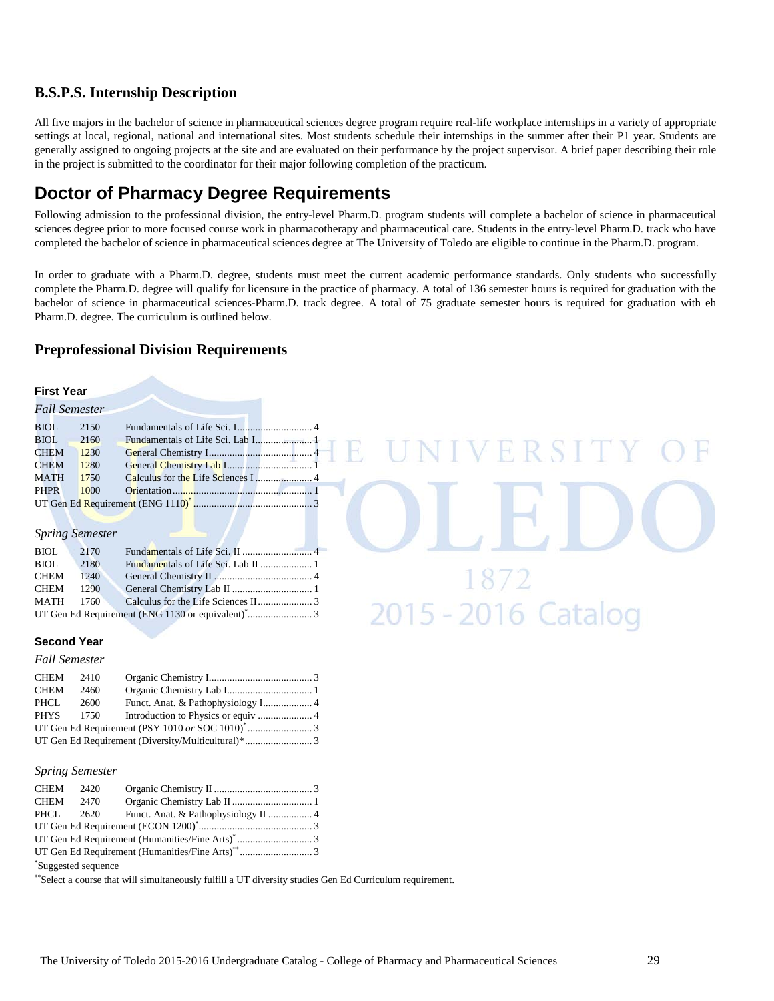#### **B.S.P.S. Internship Description**

All five majors in the bachelor of science in pharmaceutical sciences degree program require real-life workplace internships in a variety of appropriate settings at local, regional, national and international sites. Most students schedule their internships in the summer after their P1 year. Students are generally assigned to ongoing projects at the site and are evaluated on their performance by the project supervisor. A brief paper describing their role in the project is submitted to the coordinator for their major following completion of the practicum.

# **Doctor of Pharmacy Degree Requirements**

Following admission to the professional division, the entry-level Pharm.D. program students will complete a bachelor of science in pharmaceutical sciences degree prior to more focused course work in pharmacotherapy and pharmaceutical care. Students in the entry-level Pharm.D. track who have completed the bachelor of science in pharmaceutical sciences degree at The University of Toledo are eligible to continue in the Pharm.D. program.

In order to graduate with a Pharm.D. degree, students must meet the current academic performance standards. Only students who successfully complete the Pharm.D. degree will qualify for licensure in the practice of pharmacy. A total of 136 semester hours is required for graduation with the bachelor of science in pharmaceutical sciences-Pharm.D. track degree. A total of 75 graduate semester hours is required for graduation with eh Pharm.D. degree. The curriculum is outlined below.

VERSI

 $\frac{18/2}{2015}$  - 2016 Catalog

#### **Preprofessional Division Requirements**

#### **First Year**

| <b>Fall Semester</b> |      |                                   |  |
|----------------------|------|-----------------------------------|--|
| BIOL                 | 2150 |                                   |  |
| BIOL 2160            |      | Fundamentals of Life Sci. Lab I 1 |  |
| <b>CHEM</b>          | 1230 |                                   |  |
| <b>CHEM</b>          | 1280 |                                   |  |
| MATH 1750            |      |                                   |  |
| <b>PHPR</b>          | 1000 |                                   |  |
|                      |      |                                   |  |

#### *Spring Semester*

#### **Second Year**

#### *Fall Semester*

| CHEM 2410 |      |  |  |
|-----------|------|--|--|
| CHEM      | 2460 |  |  |
| PHCL      | 2600 |  |  |
| PHYS 1750 |      |  |  |
|           |      |  |  |
|           |      |  |  |

#### *Spring Semester*

| CHEM 2420 |  |  |
|-----------|--|--|
| CHEM 2470 |  |  |
|           |  |  |
|           |  |  |
|           |  |  |
|           |  |  |
|           |  |  |

\* Suggested sequence

**\*\***Select a course that will simultaneously fulfill a UT diversity studies Gen Ed Curriculum requirement.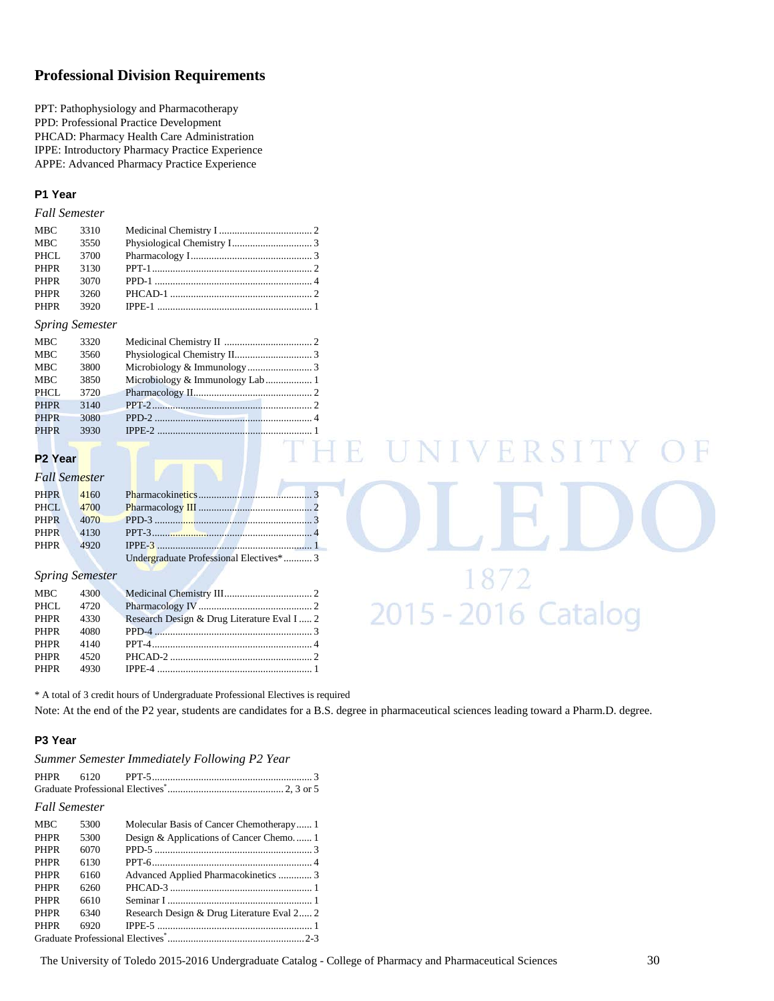#### **Professional Division Requirements**

PPT: Pathophysiology and Pharmacotherapy PPD: Professional Practice Development PHCAD: Pharmacy Health Care Administration IPPE: Introductory Pharmacy Practice Experience APPE: Advanced Pharmacy Practice Experience

#### **P1 Year**

#### *Fall Semester*

| MBC.        | 3310 |           |  |
|-------------|------|-----------|--|
| <b>MBC</b>  | 3550 |           |  |
| PHCL        | 3700 |           |  |
| <b>PHPR</b> | 3130 | $PPT-1$ 2 |  |
| <b>PHPR</b> | 3070 |           |  |
| <b>PHPR</b> | 3260 |           |  |
| <b>PHPR</b> | 3920 |           |  |

#### *Spring Semester*

| <b>MBC</b>  | 3320 |                                 |  |
|-------------|------|---------------------------------|--|
| <b>MBC</b>  | 3560 |                                 |  |
| <b>MBC</b>  | 3800 |                                 |  |
| <b>MBC</b>  | 3850 | Microbiology & Immunology Lab 1 |  |
| PHCL        | 3720 |                                 |  |
| <b>PHPR</b> | 3140 | $PPT-2$                         |  |
| <b>PHPR</b> | 3080 | PPD-2 $\ldots$                  |  |
| <b>PHPR</b> | 3930 |                                 |  |
|             |      |                                 |  |

#### **P2 Year**

#### *Fall Semester*

| <b>PHPR</b> | 4160 |                                         |
|-------------|------|-----------------------------------------|
| PHCL.       | 4700 |                                         |
| <b>PHPR</b> |      |                                         |
| <b>PHPR</b> |      |                                         |
| <b>PHPR</b> | 4920 |                                         |
|             |      | Undergraduate Professional Electives* 3 |

#### *Spring Semester*

| MBC 4300 |                                             |
|----------|---------------------------------------------|
| 4720     |                                             |
| 4330     |                                             |
| 4080     |                                             |
| 4140     |                                             |
| 4520     |                                             |
|          |                                             |
|          | Research Design & Drug Literature Eval I  2 |

\* A total of 3 credit hours of Undergraduate Professional Electives is required

Note: At the end of the P2 year, students are candidates for a B.S. degree in pharmaceutical sciences leading toward a Pharm.D. degree.

#### **P3 Year**

*Summer Semester Immediately Following P2 Year*

| <b>Fall Semester</b> |                                                   |  |
|----------------------|---------------------------------------------------|--|
|                      | MBC 5300 Molecular Basis of Cancer Chemotherapy 1 |  |

| <b>PHPR</b> | 5300 | Design & Applications of Cancer Chemo 1    |  |
|-------------|------|--------------------------------------------|--|
| <b>PHPR</b> | 6070 |                                            |  |
| <b>PHPR</b> | 6130 |                                            |  |
| <b>PHPR</b> | 6160 | Advanced Applied Pharmacokinetics  3       |  |
| <b>PHPR</b> | 6260 |                                            |  |
| <b>PHPR</b> | 6610 |                                            |  |
| <b>PHPR</b> | 6340 | Research Design & Drug Literature Eval 2 2 |  |
| <b>PHPR</b> | 6920 |                                            |  |
|             |      |                                            |  |
|             |      |                                            |  |

VERSITY

1872<br>2015 - 2016 Catalog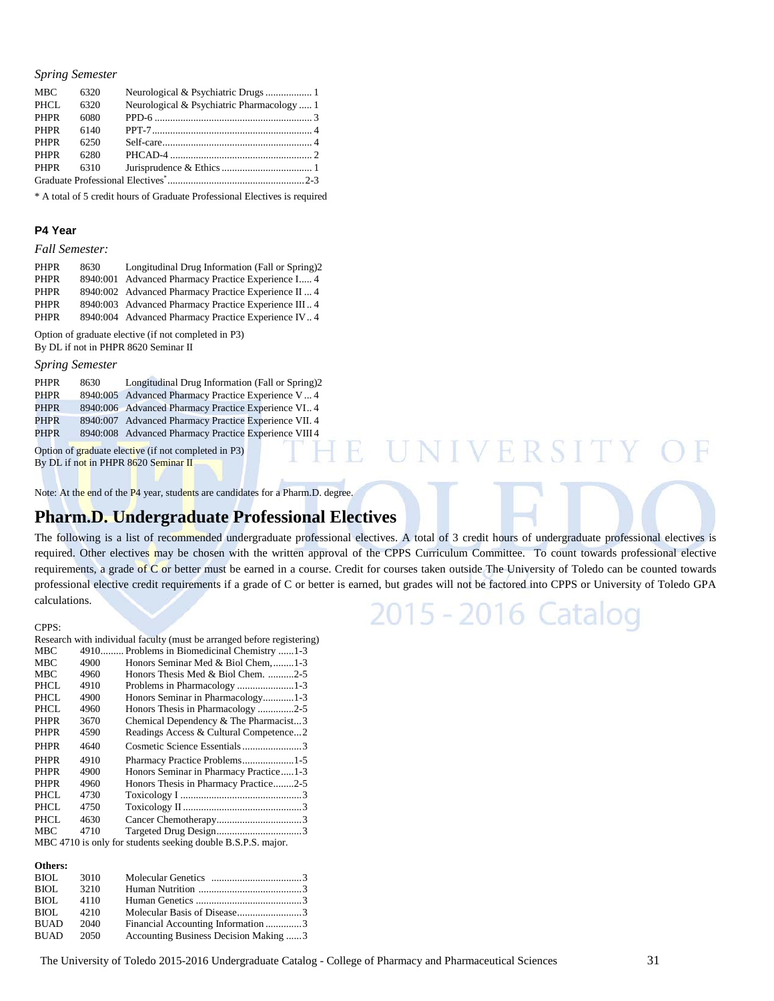#### *Spring Semester*

| <b>MBC</b>  | 6320 |                                            |  |
|-------------|------|--------------------------------------------|--|
| PHCL        | 6320 | Neurological & Psychiatric Pharmacology  1 |  |
| <b>PHPR</b> | 6080 |                                            |  |
| <b>PHPR</b> | 6140 |                                            |  |
| <b>PHPR</b> | 6250 |                                            |  |
| <b>PHPR</b> | 6280 |                                            |  |
| <b>PHPR</b> | 6310 |                                            |  |
|             |      |                                            |  |

\* A total of 5 credit hours of Graduate Professional Electives is required

#### **P4 Year**

#### *Fall Semester:*

| <b>PHPR</b> | 8630     | Longitudinal Drug Information (Fall or Spring)2       |
|-------------|----------|-------------------------------------------------------|
| <b>PHPR</b> | 8940:001 | Advanced Pharmacy Practice Experience I 4             |
| <b>PHPR</b> |          | 8940:002 Advanced Pharmacy Practice Experience II4    |
| <b>PHPR</b> |          | 8940:003 Advanced Pharmacy Practice Experience III 4  |
| <b>PHPR</b> |          | 8940:004 Advanced Pharmacy Practice Experience IV., 4 |

Option of graduate elective (if not completed in P3) By DL if not in PHPR 8620 Seminar II

#### *Spring Semester*

| <b>PHPR</b> | 8630 | Longitudinal Drug Information (Fall or Spring)2       |
|-------------|------|-------------------------------------------------------|
| <b>PHPR</b> |      | 8940:005 Advanced Pharmacy Practice Experience V 4    |
| <b>PHPR</b> |      | 8940:006 Advanced Pharmacy Practice Experience VI 4   |
| <b>PHPR</b> |      | 8940:007 Advanced Pharmacy Practice Experience VII. 4 |
| <b>PHPR</b> |      | 8940:008 Advanced Pharmacy Practice Experience VIII 4 |
|             |      | Option of graduate elective (if not completed in P3)  |

Option of graduate elective (if not completed in P3) By DL if not in PHPR 8620 Seminar II

Note: At the end of the P4 year, students are candidates for a Pharm.D. degree.

## **Pharm.D. Undergraduate Professional Electives**

The following is a list of recommended undergraduate professional electives. A total of 3 credit hours of undergraduate professional electives is required. Other electives may be chosen with the written approval of the CPPS Curriculum Committee.To count towards professional elective requirements, a grade of C or better must be earned in a course. Credit for courses taken outside The University of Toledo can be counted towards professional elective credit requirements if a grade of C or better is earned, but grades will not be factored into CPPS or University of Toledo GPA calculations.

# 2015 - 2016 Catalog

E UNIVERSITY

#### CPPS:

|                                                              |      | Research with individual faculty (must be arranged before registering) |
|--------------------------------------------------------------|------|------------------------------------------------------------------------|
| <b>MBC</b>                                                   |      | 4910 Problems in Biomedicinal Chemistry 1-3                            |
| <b>MBC</b>                                                   | 4900 | Honors Seminar Med & Biol Chem, 1-3                                    |
| <b>MBC</b>                                                   | 4960 | Honors Thesis Med & Biol Chem. 2-5                                     |
| <b>PHCL</b>                                                  | 4910 |                                                                        |
| PHCL                                                         | 4900 | Honors Seminar in Pharmacology1-3                                      |
| PHCL                                                         | 4960 | Honors Thesis in Pharmacology 2-5                                      |
| <b>PHPR</b>                                                  | 3670 | Chemical Dependency & The Pharmacist3                                  |
| <b>PHPR</b>                                                  | 4590 | Readings Access & Cultural Competence2                                 |
| <b>PHPR</b>                                                  | 4640 | Cosmetic Science Essentials3                                           |
| <b>PHPR</b>                                                  | 4910 | Pharmacy Practice Problems1-5                                          |
| <b>PHPR</b>                                                  | 4900 | Honors Seminar in Pharmacy Practice1-3                                 |
| <b>PHPR</b>                                                  | 4960 | Honors Thesis in Pharmacy Practice2-5                                  |
| PHCL                                                         | 4730 |                                                                        |
| PHCL.                                                        | 4750 |                                                                        |
| PHCL                                                         | 4630 |                                                                        |
| <b>MBC</b>                                                   | 4710 |                                                                        |
| MBC 4710 is only for students seeking double B.S.P.S. major. |      |                                                                        |
|                                                              |      |                                                                        |

#### **Others:**

| BIOL        | 3010  |                                       |  |
|-------------|-------|---------------------------------------|--|
| BIOL.       | 3210  |                                       |  |
| BIOL.       | 4110  |                                       |  |
| BIOL.       | 42.10 |                                       |  |
| <b>BUAD</b> | 2040  | Financial Accounting Information 3    |  |
| BUAD        | 2050  | Accounting Business Decision Making 3 |  |
|             |       |                                       |  |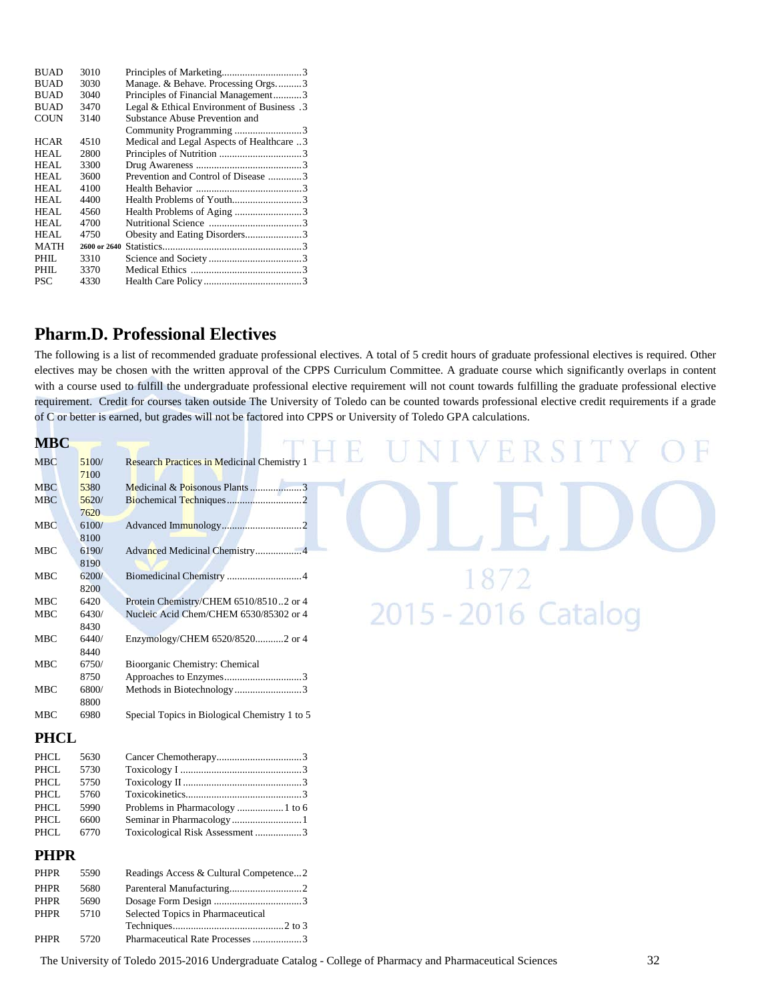| <b>BUAD</b> | 3010         |                                            |  |
|-------------|--------------|--------------------------------------------|--|
| <b>BUAD</b> | 3030         | Manage. & Behave. Processing Orgs3         |  |
| <b>BUAD</b> | 3040         | Principles of Financial Management3        |  |
| <b>BUAD</b> | 3470         | 1. Legal & Ethical Environment of Business |  |
| <b>COUN</b> | 3140         | Substance Abuse Prevention and             |  |
|             |              | Community Programming 3                    |  |
| <b>HCAR</b> | 4510         | Medical and Legal Aspects of Healthcare 3  |  |
| <b>HEAL</b> | 2800         |                                            |  |
| <b>HEAL</b> | 3300         |                                            |  |
| HEAL        | 3600         | Prevention and Control of Disease 3        |  |
| HEAL        | 4100         |                                            |  |
| HEAL        | 4400         |                                            |  |
| HEAL        | 4560         |                                            |  |
| <b>HEAL</b> | 4700         |                                            |  |
| HEAL        | 4750         | Obesity and Eating Disorders3              |  |
| <b>MATH</b> | 2600 or 2640 |                                            |  |
| PHIL.       | 3310         |                                            |  |
| PHIL        | 3370         |                                            |  |
| <b>PSC</b>  | 4330         |                                            |  |

### **Pharm.D. Professional Electives**

The following is a list of recommended graduate professional electives. A total of 5 credit hours of graduate professional electives is required. Other electives may be chosen with the written approval of the CPPS Curriculum Committee. A graduate course which significantly overlaps in content with a course used to fulfill the undergraduate professional elective requirement will not count towards fulfilling the graduate professional elective requirement. Credit for courses taken outside The University of Toledo can be counted towards professional elective credit requirements if a grade of C or better is earned, but grades will not be factored into CPPS or University of Toledo GPA calculations.

| <b>MBC</b>  |               |                                                    | ERSII               |
|-------------|---------------|----------------------------------------------------|---------------------|
| <b>MBC</b>  | 5100/<br>7100 | <b>Research Practices in Medicinal Chemistry 1</b> |                     |
| <b>MBC</b>  | 5380          |                                                    |                     |
| <b>MBC</b>  | 5620/<br>7620 |                                                    |                     |
| <b>MBC</b>  | 6100/<br>8100 |                                                    |                     |
| MBC         | 6190/<br>8190 | Advanced Medicinal Chemistry4                      |                     |
| <b>MBC</b>  | 6200/<br>8200 |                                                    |                     |
| <b>MBC</b>  | 6420          | Protein Chemistry/CHEM 6510/85102 or 4             |                     |
| <b>MBC</b>  | 6430/<br>8430 | Nucleic Acid Chem/CHEM 6530/85302 or 4             | 2015 - 2016 Catalog |
| <b>MBC</b>  | 6440/<br>8440 | Enzymology/CHEM 6520/85202 or 4                    |                     |
| MBC         | 6750/         | Bioorganic Chemistry: Chemical                     |                     |
|             | 8750          |                                                    |                     |
| <b>MBC</b>  | 6800/<br>8800 |                                                    |                     |
| MBC         | 6980          | Special Topics in Biological Chemistry 1 to 5      |                     |
| <b>PHCL</b> |               |                                                    |                     |
| <b>PHCL</b> | 5630          |                                                    |                     |

| PHCL | 5630 |                                 |  |
|------|------|---------------------------------|--|
| PHCL | 5730 |                                 |  |
| PHCL | 5750 |                                 |  |
| PHCL | 5760 |                                 |  |
| PHCL | 5990 |                                 |  |
| PHCL | 6600 |                                 |  |
| PHCL | 6770 | Toxicological Risk Assessment 3 |  |
|      |      |                                 |  |

#### **PHPR**

| PHPR        | 5590 | Readings Access & Cultural Competence2 |  |
|-------------|------|----------------------------------------|--|
| <b>PHPR</b> | 5680 |                                        |  |
| <b>PHPR</b> | 5690 |                                        |  |
| PHPR        | 5710 | Selected Topics in Pharmaceutical      |  |
|             |      |                                        |  |
| PHPR        | 5720 | Pharmaceutical Rate Processes3         |  |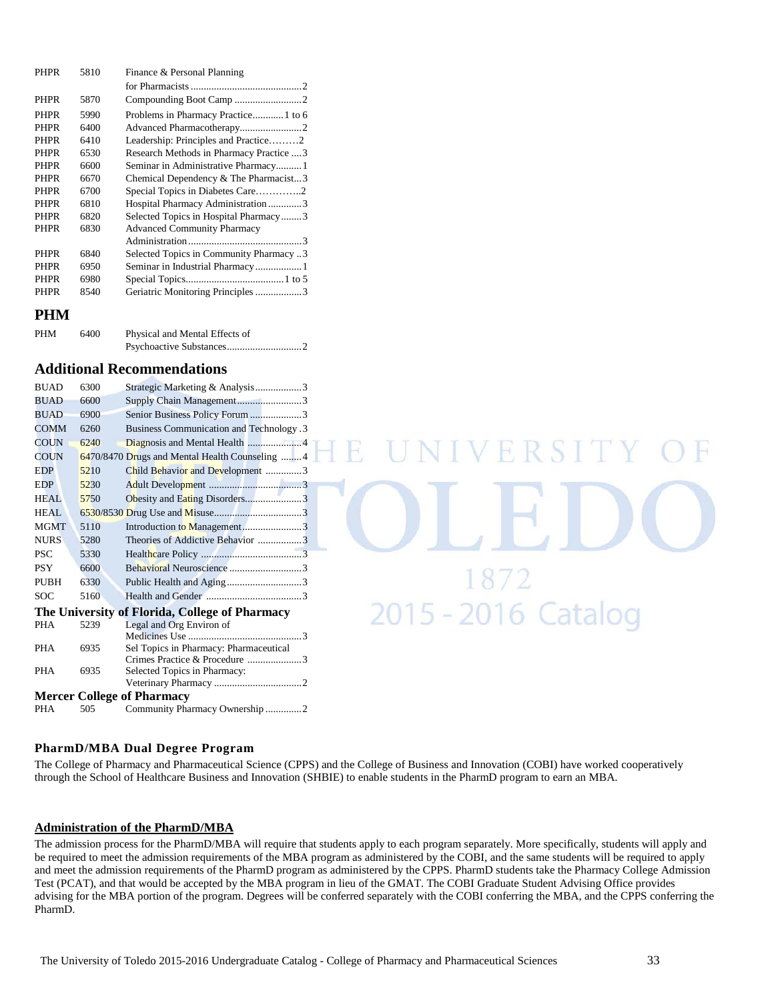| <b>PHPR</b> | 5810 | Finance & Personal Planning              |  |
|-------------|------|------------------------------------------|--|
|             |      |                                          |  |
| <b>PHPR</b> | 5870 |                                          |  |
| <b>PHPR</b> | 5990 | Problems in Pharmacy Practice 1 to 6     |  |
| <b>PHPR</b> | 6400 |                                          |  |
| <b>PHPR</b> | 6410 | Leadership: Principles and Practice2     |  |
| <b>PHPR</b> | 6530 | Research Methods in Pharmacy Practice  3 |  |
| <b>PHPR</b> | 6600 | Seminar in Administrative Pharmacy1      |  |
| <b>PHPR</b> | 6670 | Chemical Dependency & The Pharmacist3    |  |
| <b>PHPR</b> | 6700 | Special Topics in Diabetes Care2         |  |
| <b>PHPR</b> | 6810 | Hospital Pharmacy Administration3        |  |
| <b>PHPR</b> | 6820 | Selected Topics in Hospital Pharmacy3    |  |
| <b>PHPR</b> | 6830 | <b>Advanced Community Pharmacy</b>       |  |
|             |      |                                          |  |
| <b>PHPR</b> | 6840 | Selected Topics in Community Pharmacy 3  |  |
| <b>PHPR</b> | 6950 | Seminar in Industrial Pharmacy1          |  |
| <b>PHPR</b> | 6980 |                                          |  |
| <b>PHPR</b> | 8540 | Geriatric Monitoring Principles 3        |  |
|             |      |                                          |  |

#### **PHM**

| <b>PHM</b> | 6400 | Physical and Mental Effects of |  |
|------------|------|--------------------------------|--|
|            |      |                                |  |

#### **Additional Recommendations**

| <b>BUAD</b> | 6300 | Strategic Marketing & Analysis3                |
|-------------|------|------------------------------------------------|
| <b>BUAD</b> | 6600 | Supply Chain Management3                       |
| <b>BUAD</b> | 6900 | Senior Business Policy Forum 3                 |
| <b>COMM</b> | 6260 | <b>Business Communication and Technology.3</b> |
| <b>COUN</b> | 6240 |                                                |
| <b>COUN</b> |      | 6470/8470 Drugs and Mental Health Counseling 4 |
| <b>EDP</b>  | 5210 | Child Behavior and Development 3               |
| <b>EDP</b>  | 5230 |                                                |
| HEAL.       | 5750 |                                                |
| HEAL.       |      |                                                |
| <b>MGMT</b> | 5110 | Introduction to Management3                    |
| <b>NURS</b> | 5280 | Theories of Addictive Behavior 3               |
| <b>PSC</b>  | 5330 |                                                |
| <b>PSY</b>  | 6600 |                                                |
| PUBH        | 6330 | Public Health and Aging3                       |
| SOC         | 5160 |                                                |
|             |      | The University of Florida, College of Pharmacy |
| <b>PHA</b>  | 5239 | Legal and Org Environ of                       |
|             |      |                                                |
| <b>PHA</b>  | 6935 | Sel Topics in Pharmacy: Pharmaceutical         |
|             |      | Crimes Practice & Procedure 3                  |
| <b>PHA</b>  | 6935 | Selected Topics in Pharmacy:                   |
|             |      | <b>Mercer College of Pharmacy</b>              |
|             |      |                                                |
| PHA         | 505  | Community Pharmacy Ownership 2                 |

# **NIVERSI** 1872  $\frac{18}{2}$  2015 - 2016 Catalog

#### **PharmD/MBA Dual Degree Program**

The College of Pharmacy and Pharmaceutical Science (CPPS) and the College of Business and Innovation (COBI) have worked cooperatively through the School of Healthcare Business and Innovation (SHBIE) to enable students in the PharmD program to earn an MBA.

#### **Administration of the PharmD/MBA**

The admission process for the PharmD/MBA will require that students apply to each program separately. More specifically, students will apply and be required to meet the admission requirements of the MBA program as administered by the COBI, and the same students will be required to apply and meet the admission requirements of the PharmD program as administered by the CPPS. PharmD students take the Pharmacy College Admission Test (PCAT), and that would be accepted by the MBA program in lieu of the GMAT. The COBI Graduate Student Advising Office provides advising for the MBA portion of the program. Degrees will be conferred separately with the COBI conferring the MBA, and the CPPS conferring the PharmD.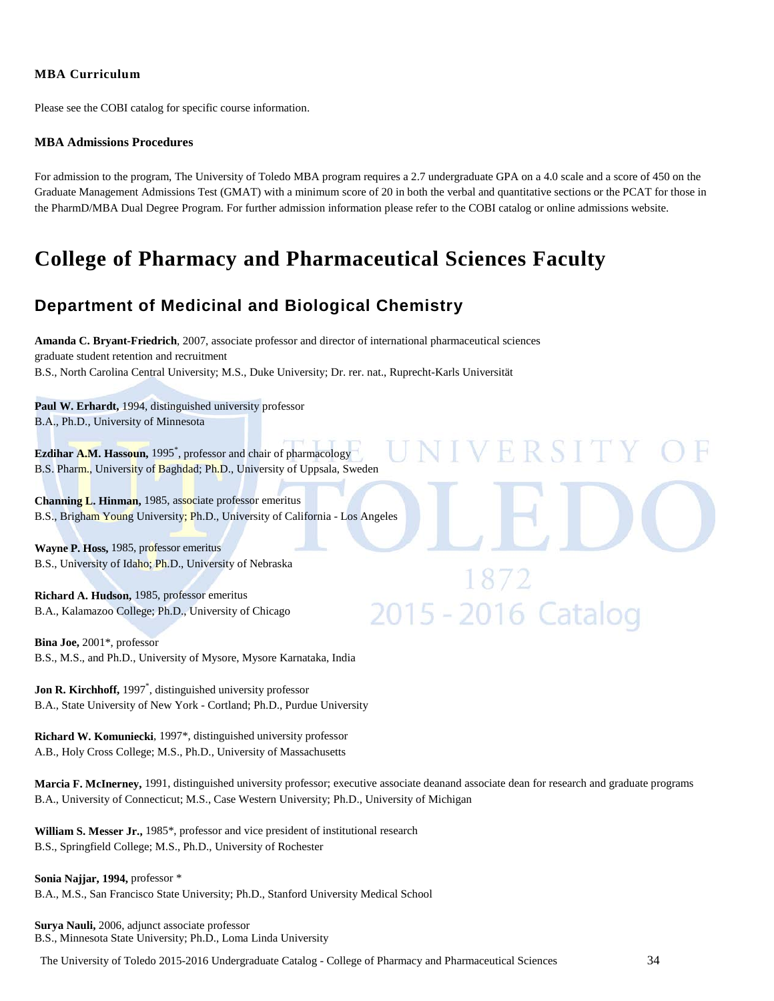#### **MBA Curriculum**

Please see the COBI catalog for specific course information.

#### **MBA Admissions Procedures**

For admission to the program, The University of Toledo MBA program requires a 2.7 undergraduate GPA on a 4.0 scale and a score of 450 on the Graduate Management Admissions Test (GMAT) with a minimum score of 20 in both the verbal and quantitative sections or the PCAT for those in the PharmD/MBA Dual Degree Program. For further admission information please refer to the COBI catalog or online admissions website.

# **College of Pharmacy and Pharmaceutical Sciences Faculty**

# **Department of Medicinal and Biological Chemistry**

**Amanda C. Bryant-Friedrich**, 2007, associate professor and director of international pharmaceutical sciences graduate student retention and recruitment B.S., North Carolina Central University; M.S., Duke University; Dr. rer. nat., Ruprecht-Karls Universität

**Paul W. Erhardt,** 1994, distinguished university professor B.A., Ph.D., University of Minnesota

**Ezdihar A.M. Hassoun,** 1995\* , professor and chair of pharmacology B.S. Pharm., University of Baghdad; Ph.D., University of Uppsala, Sweden

**Channing L. Hinman,** 1985, associate professor emeritus B.S., Brigham Young University; Ph.D., University of California - Los Angeles

**Wayne P. Hoss,** 1985, professor emeritus B.S., University of Idaho; Ph.D., University of Nebraska

**Richard A. Hudson,** 1985, professor emeritus B.A., Kalamazoo College; Ph.D., University of Chicago

**Bina Joe,** 2001\*, professor B.S., M.S., and Ph.D., University of Mysore, Mysore Karnataka, India

**Jon R. Kirchhoff,** 1997\* , distinguished university professor B.A., State University of New York - Cortland; Ph.D., Purdue University

**Richard W. Komuniecki**, 1997\*, distinguished university professor A.B., Holy Cross College; M.S., Ph.D., University of Massachusetts

**Marcia F. McInerney,** 1991, distinguished university professor; executive associate deanand associate dean for research and graduate programs B.A., University of Connecticut; M.S., Case Western University; Ph.D., University of Michigan

**William S. Messer Jr.,** 1985\*, professor and vice president of institutional research B.S., Springfield College; M.S., Ph.D., University of Rochester

**Sonia Najjar, 1994,** professor \* B.A., M.S., San Francisco State University; Ph.D., Stanford University Medical School

**Surya Nauli,** 2006, adjunct associate professor B.S., Minnesota State University; Ph.D., Loma Linda University

The University of Toledo 2015-2016 Undergraduate Catalog - College of Pharmacy and Pharmaceutical Sciences 34

ERSITY

1872<br>2015 - 2016 Catalog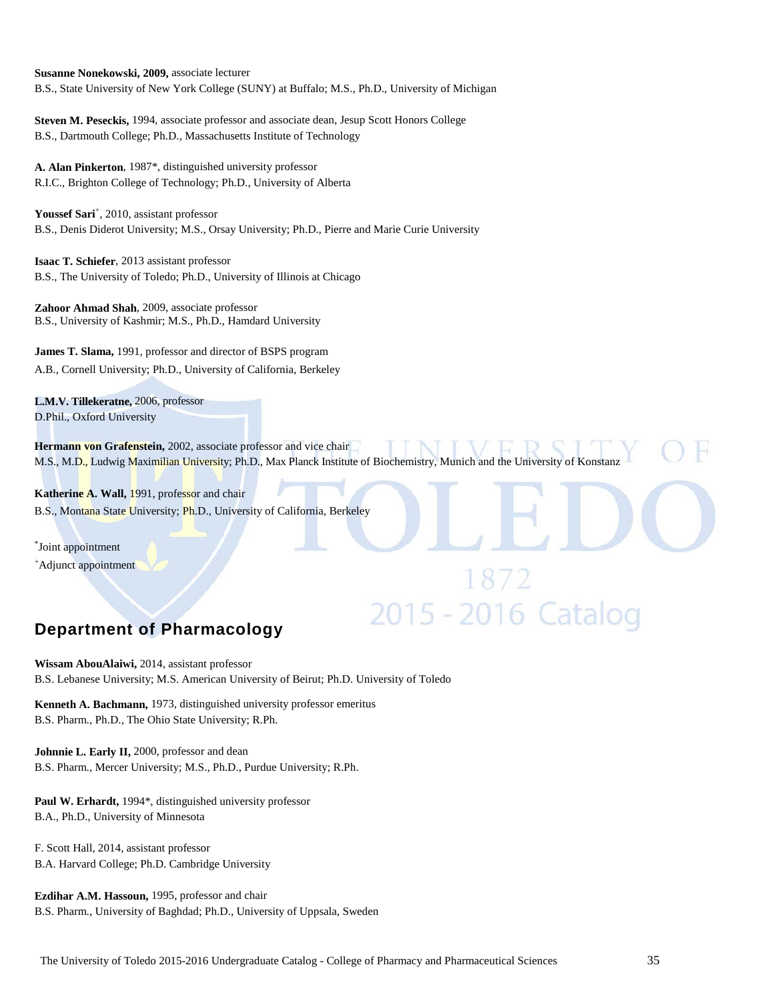**Susanne Nonekowski, 2009,** associate lecturer B.S., State University of New York College (SUNY) at Buffalo; M.S., Ph.D., University of Michigan

**Steven M. Peseckis,** 1994, associate professor and associate dean, Jesup Scott Honors College B.S., Dartmouth College; Ph.D., Massachusetts Institute of Technology

**A. Alan Pinkerton**, 1987\*, distinguished university professor R.I.C., Brighton College of Technology; Ph.D., University of Alberta

Youssef Sari<sup>+</sup>, 2010, assistant professor B.S., Denis Diderot University; M.S., Orsay University; Ph.D., Pierre and Marie Curie University

**Isaac T. Schiefer**, 2013 assistant professor B.S., The University of Toledo; Ph.D., University of Illinois at Chicago

**Zahoor Ahmad Shah**, 2009, associate professor B.S., University of Kashmir; M.S., Ph.D., Hamdard University

**James T. Slama,** 1991, professor and director of BSPS program A.B., Cornell University; Ph.D., University of California, Berkeley

**L.M.V. Tillekeratne,** 2006, professor D.Phil., Oxford University

**Hermann von Grafenstein,** 2002, associate professor and vice chair M.S., M.D., Ludwig Maximilian University; Ph.D., Max Planck Institute of Biochemistry, Munich and the University of Konstanz

1872<br>2015 - 2016 Catalog

Katherine A. Wall, 1991, professor and chair B.S., Montana State University; Ph.D., University of California, Berkeley

\* Joint appointment + Adjunct appointment

# **Department of Pharmacology**

**Wissam AbouAlaiwi,** 2014, assistant professor B.S. Lebanese University; M.S. American University of Beirut; Ph.D. University of Toledo

**Kenneth A. Bachmann,** 1973, distinguished university professor emeritus B.S. Pharm., Ph.D., The Ohio State University; R.Ph.

**Johnnie L. Early II,** 2000, professor and dean B.S. Pharm., Mercer University; M.S., Ph.D., Purdue University; R.Ph.

Paul W. Erhardt, 1994\*, distinguished university professor B.A., Ph.D., University of Minnesota

F. Scott Hall, 2014, assistant professor B.A. Harvard College; Ph.D. Cambridge University

**Ezdihar A.M. Hassoun,** 1995, professor and chair B.S. Pharm., University of Baghdad; Ph.D., University of Uppsala, Sweden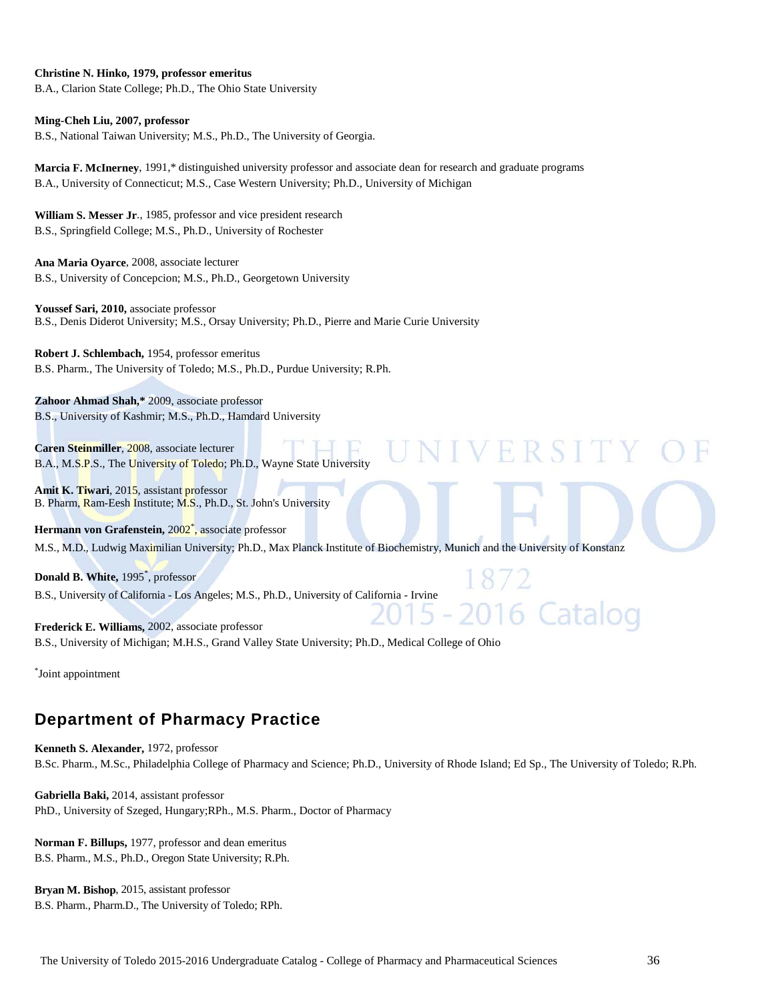#### **Christine N. Hinko, 1979, professor emeritus**

B.A., Clarion State College; Ph.D., The Ohio State University

#### **Ming-Cheh Liu, 2007, professor**

B.S., National Taiwan University; M.S., Ph.D., The University of Georgia.

**Marcia F. McInerney**, 1991,\* distinguished university professor and associate dean for research and graduate programs B.A., University of Connecticut; M.S., Case Western University; Ph.D., University of Michigan

**William S. Messer Jr**., 1985, professor and vice president research B.S., Springfield College; M.S., Ph.D., University of Rochester

**Ana Maria Oyarce**, 2008, associate lecturer B.S., University of Concepcion; M.S., Ph.D., Georgetown University

**Youssef Sari, 2010,** associate professor B.S., Denis Diderot University; M.S., Orsay University; Ph.D., Pierre and Marie Curie University

**Robert J. Schlembach,** 1954, professor emeritus B.S. Pharm., The University of Toledo; M.S., Ph.D., Purdue University; R.Ph.

**Zahoor Ahmad Shah,\*** 2009, associate professor B.S., University of Kashmir; M.S., Ph.D., Hamdard University

**Caren Steinmiller**, 2008, associate lecturer B.A., M.S.P.S., The University of Toledo; Ph.D., Wayne State University

**Amit K. Tiwari**, 2015, assistant professor B. Pharm, Ram-Eesh Institute; M.S., Ph.D., St. John's University

Hermann von Grafenstein, 2002<sup>\*</sup>, associate professor M.S., M.D., Ludwig Maximilian University; Ph.D., Max Planck Institute of Biochemistry, Munich and the University of Konstanz

**Donald B. White,** 1995\* , professor B.S., University of California - Los Angeles; M.S., Ph.D., University of California - Irvine

16 Catalog **Frederick E. Williams,** 2002, associate professor B.S., University of Michigan; M.H.S., Grand Valley State University; Ph.D., Medical College of Ohio

\* Joint appointment

# **Department of Pharmacy Practice**

**Kenneth S. Alexander,** 1972, professor B.Sc. Pharm., M.Sc., Philadelphia College of Pharmacy and Science; Ph.D., University of Rhode Island; Ed Sp., The University of Toledo; R.Ph.

**Gabriella Baki,** 2014, assistant professor PhD., University of Szeged, Hungary;RPh., M.S. Pharm., Doctor of Pharmacy

**Norman F. Billups,** 1977, professor and dean emeritus B.S. Pharm., M.S., Ph.D., Oregon State University; R.Ph.

**Bryan M. Bishop**, 2015, assistant professor B.S. Pharm., Pharm.D., The University of Toledo; RPh. VERSITY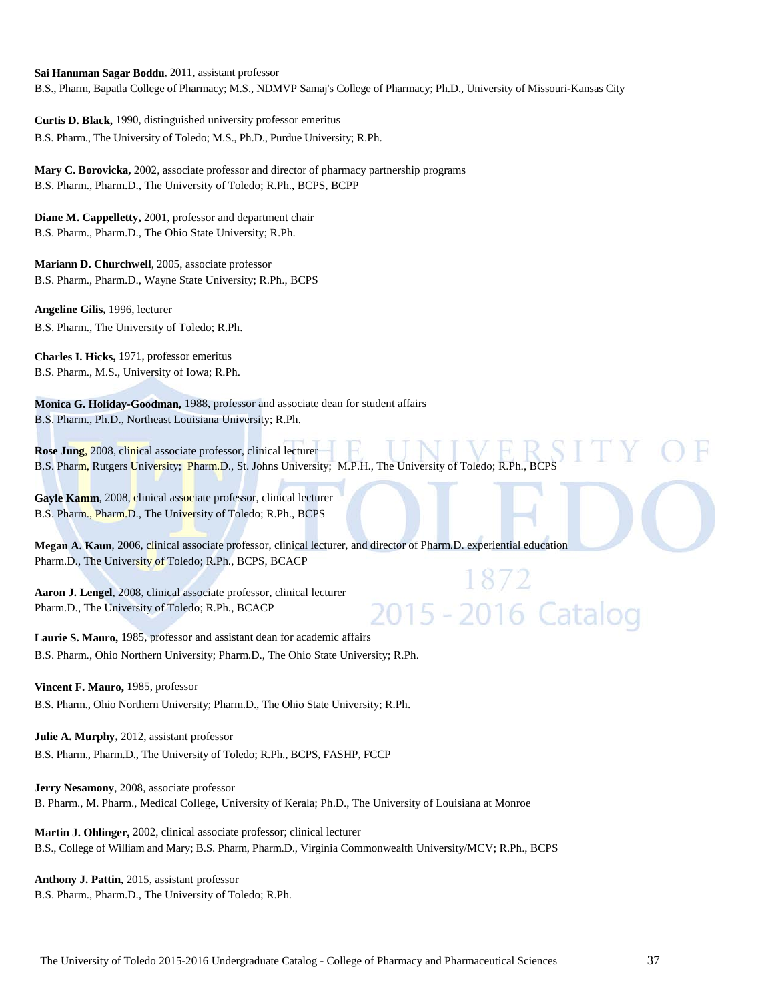**Sai Hanuman Sagar Boddu**, 2011, assistant professor B.S., Pharm, Bapatla College of Pharmacy; M.S., NDMVP Samaj's College of Pharmacy; Ph.D., University of Missouri-Kansas City

**Curtis D. Black,** 1990, distinguished university professor emeritus B.S. Pharm., The University of Toledo; M.S., Ph.D., Purdue University; R.Ph.

**Mary C. Borovicka,** 2002, associate professor and director of pharmacy partnership programs B.S. Pharm., Pharm.D., The University of Toledo; R.Ph., BCPS, BCPP

**Diane M. Cappelletty,** 2001, professor and department chair B.S. Pharm., Pharm.D., The Ohio State University; R.Ph.

**Mariann D. Churchwell**, 2005, associate professor B.S. Pharm., Pharm.D., Wayne State University; R.Ph., BCPS

**Angeline Gilis,** 1996, lecturer B.S. Pharm., The University of Toledo; R.Ph.

**Charles I. Hicks,** 1971, professor emeritus B.S. Pharm., M.S., University of Iowa; R.Ph.

**Monica G. Holiday-Goodman,** 1988, professor and associate dean for student affairs B.S. Pharm., Ph.D., Northeast Louisiana University; R.Ph.

**Rose Jung**, 2008, clinical associate professor, clinical lecturer B.S. Pharm, Rutgers University; Pharm.D., St. Johns University; M.P.H., The University of Toledo; R.Ph., BCPS

Gayle Kamm, 2008, clinical associate professor, clinical lecturer B.S. Pharm., Pharm.D., The University of Toledo; R.Ph., BCPS

**Megan A. Kaun**, 2006, clinical associate professor, clinical lecturer, and director of Pharm.D. experiential education Pharm.D., The University of Toledo; R.Ph., BCPS, BCACP

2015 - 2016 Catalog

**Aaron J. Lengel**, 2008, clinical associate professor, clinical lecturer Pharm.D., The University of Toledo; R.Ph., BCACP

**Laurie S. Mauro,** 1985, professor and assistant dean for academic affairs B.S. Pharm., Ohio Northern University; Pharm.D., The Ohio State University; R.Ph.

**Vincent F. Mauro,** 1985, professor

B.S. Pharm., Ohio Northern University; Pharm.D., The Ohio State University; R.Ph.

**Julie A. Murphy,** 2012, assistant professor B.S. Pharm., Pharm.D., The University of Toledo; R.Ph., BCPS, FASHP, FCCP

**Jerry Nesamony**, 2008, associate professor B. Pharm., M. Pharm., Medical College, University of Kerala; Ph.D., The University of Louisiana at Monroe

**Martin J. Ohlinger,** 2002, clinical associate professor; clinical lecturer B.S., College of William and Mary; B.S. Pharm, Pharm.D., Virginia Commonwealth University/MCV; R.Ph., BCPS

**Anthony J. Pattin**, 2015, assistant professor B.S. Pharm., Pharm.D., The University of Toledo; R.Ph.